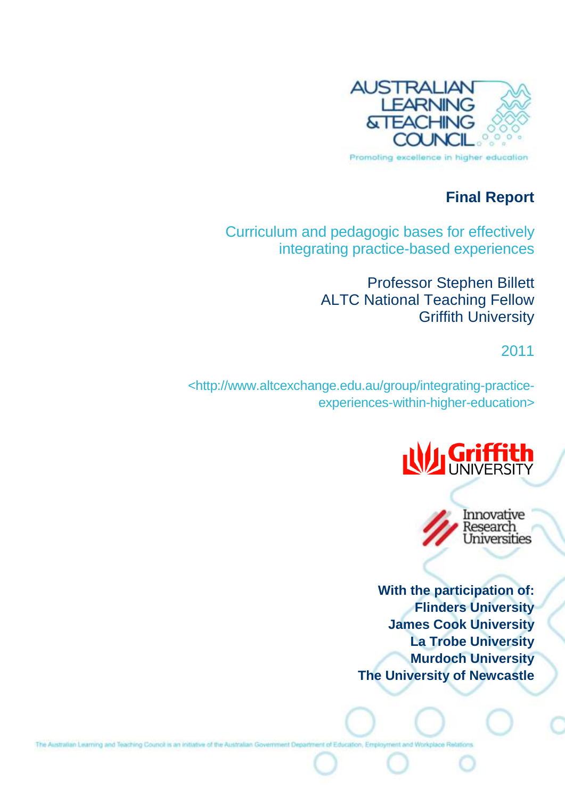

# **Final Report**

Curriculum and pedagogic bases for effectively integrating practice-based experiences

> Professor Stephen Billett ALTC National Teaching Fellow Griffith University

> > 2011

<http://www.altcexchange.edu.au/group/integrating-practiceexperiences-within-higher-education>



Innovative Research Universities

**With the participation of: Flinders University James Cook University La Trobe University Murdoch University The University of Newcastle**

It and Workplace Relatio iming and Teaching Council is an initiative of the Australian Government Dep<br>.

The Australian Learning and Teaching  $\mathcal{L}(\mathcal{A})$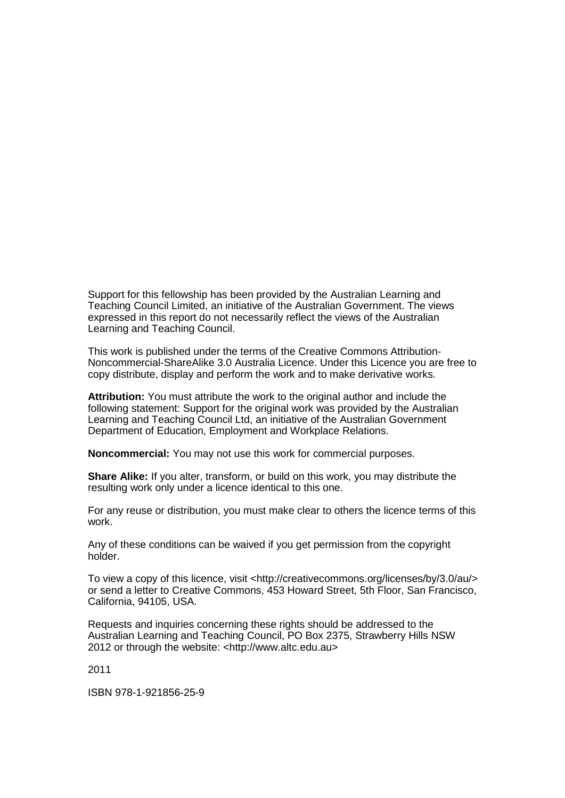Support for this fellowship has been provided by the Australian Learning and Teaching Council Limited, an initiative of the Australian Government. The views expressed in this report do not necessarily reflect the views of the Australian Learning and Teaching Council.

This work is published under the terms of the Creative Commons Attribution-Noncommercial-ShareAlike 3.0 Australia Licence. Under this Licence you are free to copy distribute, display and perform the work and to make derivative works.

**Attribution:** You must attribute the work to the original author and include the following statement: Support for the original work was provided by the Australian Learning and Teaching Council Ltd, an initiative of the Australian Government Department of Education, Employment and Workplace Relations.

**Noncommercial:** You may not use this work for commercial purposes.

**Share Alike:** If you alter, transform, or build on this work, you may distribute the resulting work only under a licence identical to this one.

For any reuse or distribution, you must make clear to others the licence terms of this work.

Any of these conditions can be waived if you get permission from the copyright holder.

To view a copy of this licence, visit [<http://creativecommons.org/licenses/by/3.0/au/>](http://creativecommons.org/licenses/by/3.0/au/) or send a letter to Creative Commons, 453 Howard Street, 5th Floor, San Francisco, California, 94105, USA.

Requests and inquiries concerning these rights should be addressed to the Australian Learning and Teaching Council, PO Box 2375, Strawberry Hills NSW 2012 or through the website: [<http://www.altc.edu.au>](http://www.altc.edu.au/)

2011

ISBN 978-1-921856-25-9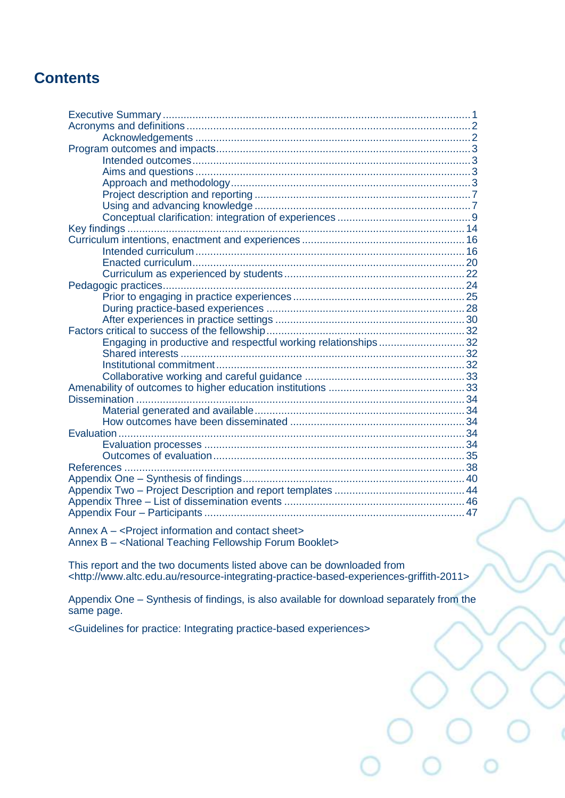# **Contents**

| Engaging in productive and respectful working relationships32 |  |
|---------------------------------------------------------------|--|
|                                                               |  |
|                                                               |  |
|                                                               |  |
|                                                               |  |
|                                                               |  |
|                                                               |  |
|                                                               |  |
|                                                               |  |
|                                                               |  |
|                                                               |  |
| References                                                    |  |
|                                                               |  |
|                                                               |  |
|                                                               |  |
|                                                               |  |
|                                                               |  |

Annex A – [<Project information and contact sheet>](http://www.altc.edu.au/resource-integrating-practice-based-experiences-griffith-2011) Annex B – [<National Teaching Fellowship Forum Booklet>](http://www.altc.edu.au/resource-integrating-practice-based-experiences-griffith-2011)

This report and the two documents listed above can be downloaded from [<http://www.altc.edu.au/resource-integrating-practice-based-experiences-griffith-2011>](http://www.altc.edu.au/resource-integrating-practice-based-experiences-griffith-2011)

Appendix One – Synthesis of findings, is also available for download separately from the same page.

[<Guidelines for practice: Integrating practice-based experiences>](http://www.altc.edu.au/resource-integrating-practice-based-experiences-griffith-2011)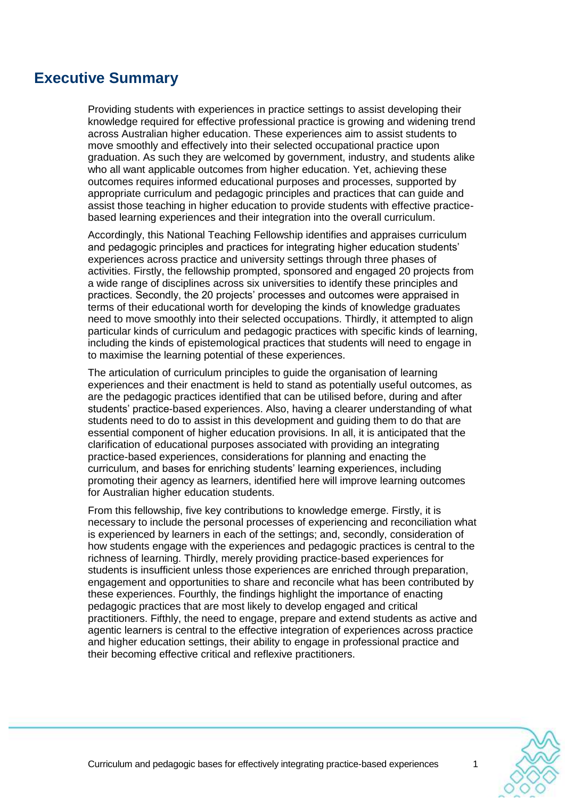# <span id="page-3-0"></span>**Executive Summary**

Providing students with experiences in practice settings to assist developing their knowledge required for effective professional practice is growing and widening trend across Australian higher education. These experiences aim to assist students to move smoothly and effectively into their selected occupational practice upon graduation. As such they are welcomed by government, industry, and students alike who all want applicable outcomes from higher education. Yet, achieving these outcomes requires informed educational purposes and processes, supported by appropriate curriculum and pedagogic principles and practices that can guide and assist those teaching in higher education to provide students with effective practicebased learning experiences and their integration into the overall curriculum.

Accordingly, this National Teaching Fellowship identifies and appraises curriculum and pedagogic principles and practices for integrating higher education students" experiences across practice and university settings through three phases of activities. Firstly, the fellowship prompted, sponsored and engaged 20 projects from a wide range of disciplines across six universities to identify these principles and practices. Secondly, the 20 projects" processes and outcomes were appraised in terms of their educational worth for developing the kinds of knowledge graduates need to move smoothly into their selected occupations. Thirdly, it attempted to align particular kinds of curriculum and pedagogic practices with specific kinds of learning, including the kinds of epistemological practices that students will need to engage in to maximise the learning potential of these experiences.

The articulation of curriculum principles to guide the organisation of learning experiences and their enactment is held to stand as potentially useful outcomes, as are the pedagogic practices identified that can be utilised before, during and after students' practice-based experiences. Also, having a clearer understanding of what students need to do to assist in this development and guiding them to do that are essential component of higher education provisions. In all, it is anticipated that the clarification of educational purposes associated with providing an integrating practice-based experiences, considerations for planning and enacting the curriculum, and bases for enriching students" learning experiences, including promoting their agency as learners, identified here will improve learning outcomes for Australian higher education students.

From this fellowship, five key contributions to knowledge emerge. Firstly, it is necessary to include the personal processes of experiencing and reconciliation what is experienced by learners in each of the settings; and, secondly, consideration of how students engage with the experiences and pedagogic practices is central to the richness of learning. Thirdly, merely providing practice-based experiences for students is insufficient unless those experiences are enriched through preparation, engagement and opportunities to share and reconcile what has been contributed by these experiences. Fourthly, the findings highlight the importance of enacting pedagogic practices that are most likely to develop engaged and critical practitioners. Fifthly, the need to engage, prepare and extend students as active and agentic learners is central to the effective integration of experiences across practice and higher education settings, their ability to engage in professional practice and their becoming effective critical and reflexive practitioners.

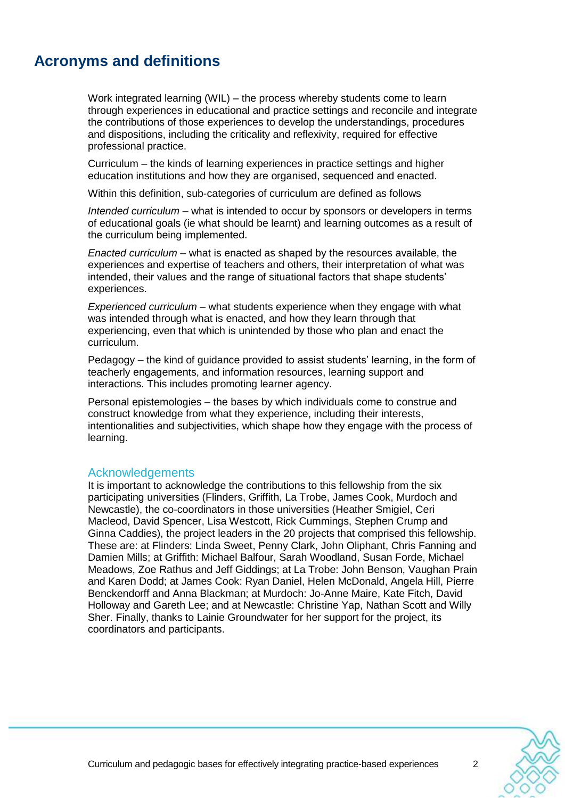# <span id="page-4-0"></span>**Acronyms and definitions**

Work integrated learning (WIL) – the process whereby students come to learn through experiences in educational and practice settings and reconcile and integrate the contributions of those experiences to develop the understandings, procedures and dispositions, including the criticality and reflexivity, required for effective professional practice.

Curriculum – the kinds of learning experiences in practice settings and higher education institutions and how they are organised, sequenced and enacted.

Within this definition, sub-categories of curriculum are defined as follows

*Intended curriculum* – what is intended to occur by sponsors or developers in terms of educational goals (ie what should be learnt) and learning outcomes as a result of the curriculum being implemented.

*Enacted curriculum* – what is enacted as shaped by the resources available, the experiences and expertise of teachers and others, their interpretation of what was intended, their values and the range of situational factors that shape students" experiences.

*Experienced curriculum* – what students experience when they engage with what was intended through what is enacted, and how they learn through that experiencing, even that which is unintended by those who plan and enact the curriculum.

Pedagogy – the kind of guidance provided to assist students" learning, in the form of teacherly engagements, and information resources, learning support and interactions. This includes promoting learner agency.

Personal epistemologies – the bases by which individuals come to construe and construct knowledge from what they experience, including their interests, intentionalities and subjectivities, which shape how they engage with the process of learning.

#### <span id="page-4-1"></span>**Acknowledgements**

It is important to acknowledge the contributions to this fellowship from the six participating universities (Flinders, Griffith, La Trobe, James Cook, Murdoch and Newcastle), the co-coordinators in those universities (Heather Smigiel, Ceri Macleod, David Spencer, Lisa Westcott, Rick Cummings, Stephen Crump and Ginna Caddies), the project leaders in the 20 projects that comprised this fellowship. These are: at Flinders: Linda Sweet, Penny Clark, John Oliphant, Chris Fanning and Damien Mills; at Griffith: Michael Balfour, Sarah Woodland, Susan Forde, Michael Meadows, Zoe Rathus and Jeff Giddings; at La Trobe: John Benson, Vaughan Prain and Karen Dodd; at James Cook: Ryan Daniel, Helen McDonald, Angela Hill, Pierre Benckendorff and Anna Blackman; at Murdoch: Jo-Anne Maire, Kate Fitch, David Holloway and Gareth Lee; and at Newcastle: Christine Yap, Nathan Scott and Willy Sher. Finally, thanks to Lainie Groundwater for her support for the project, its coordinators and participants.

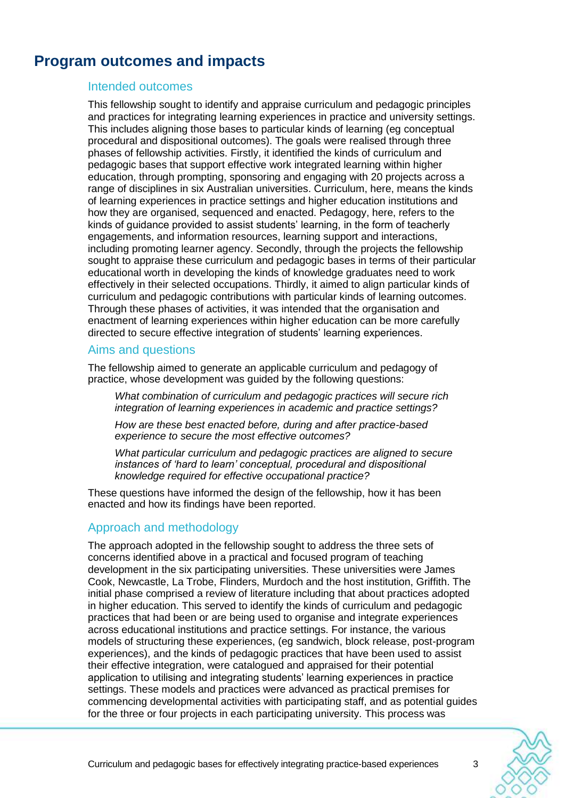# <span id="page-5-1"></span><span id="page-5-0"></span>**Program outcomes and impacts**

#### Intended outcomes

This fellowship sought to identify and appraise curriculum and pedagogic principles and practices for integrating learning experiences in practice and university settings. This includes aligning those bases to particular kinds of learning (eg conceptual procedural and dispositional outcomes). The goals were realised through three phases of fellowship activities. Firstly, it identified the kinds of curriculum and pedagogic bases that support effective work integrated learning within higher education, through prompting, sponsoring and engaging with 20 projects across a range of disciplines in six Australian universities. Curriculum, here, means the kinds of learning experiences in practice settings and higher education institutions and how they are organised, sequenced and enacted. Pedagogy, here, refers to the kinds of guidance provided to assist students' learning, in the form of teacherly engagements, and information resources, learning support and interactions, including promoting learner agency. Secondly, through the projects the fellowship sought to appraise these curriculum and pedagogic bases in terms of their particular educational worth in developing the kinds of knowledge graduates need to work effectively in their selected occupations. Thirdly, it aimed to align particular kinds of curriculum and pedagogic contributions with particular kinds of learning outcomes. Through these phases of activities, it was intended that the organisation and enactment of learning experiences within higher education can be more carefully directed to secure effective integration of students" learning experiences.

#### <span id="page-5-2"></span>Aims and questions

The fellowship aimed to generate an applicable curriculum and pedagogy of practice, whose development was guided by the following questions:

*What combination of curriculum and pedagogic practices will secure rich integration of learning experiences in academic and practice settings?*

*How are these best enacted before, during and after practice-based experience to secure the most effective outcomes?*

*What particular curriculum and pedagogic practices are aligned to secure instances of 'hard to learn' conceptual, procedural and dispositional knowledge required for effective occupational practice?*

These questions have informed the design of the fellowship, how it has been enacted and how its findings have been reported.

## <span id="page-5-3"></span>Approach and methodology

The approach adopted in the fellowship sought to address the three sets of concerns identified above in a practical and focused program of teaching development in the six participating universities. These universities were James Cook, Newcastle, La Trobe, Flinders, Murdoch and the host institution, Griffith. The initial phase comprised a review of literature including that about practices adopted in higher education. This served to identify the kinds of curriculum and pedagogic practices that had been or are being used to organise and integrate experiences across educational institutions and practice settings. For instance, the various models of structuring these experiences, (eg sandwich, block release, post-program experiences), and the kinds of pedagogic practices that have been used to assist their effective integration, were catalogued and appraised for their potential application to utilising and integrating students" learning experiences in practice settings. These models and practices were advanced as practical premises for commencing developmental activities with participating staff, and as potential guides for the three or four projects in each participating university. This process was

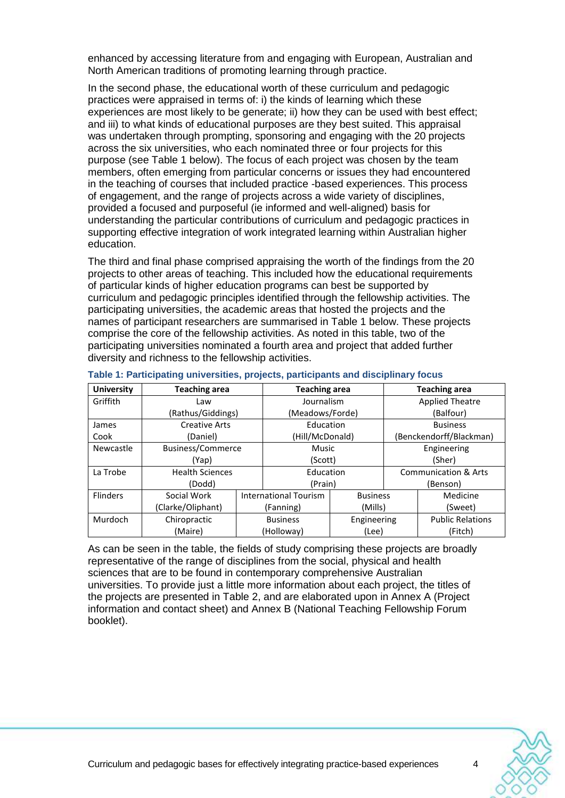enhanced by accessing literature from and engaging with European, Australian and North American traditions of promoting learning through practice.

In the second phase, the educational worth of these curriculum and pedagogic practices were appraised in terms of: i) the kinds of learning which these experiences are most likely to be generate; ii) how they can be used with best effect; and iii) to what kinds of educational purposes are they best suited. This appraisal was undertaken through prompting, sponsoring and engaging with the 20 projects across the six universities, who each nominated three or four projects for this purpose (see Table 1 below). The focus of each project was chosen by the team members, often emerging from particular concerns or issues they had encountered in the teaching of courses that included practice -based experiences. This process of engagement, and the range of projects across a wide variety of disciplines, provided a focused and purposeful (ie informed and well-aligned) basis for understanding the particular contributions of curriculum and pedagogic practices in supporting effective integration of work integrated learning within Australian higher education.

The third and final phase comprised appraising the worth of the findings from the 20 projects to other areas of teaching. This included how the educational requirements of particular kinds of higher education programs can best be supported by curriculum and pedagogic principles identified through the fellowship activities. The participating universities, the academic areas that hosted the projects and the names of participant researchers are summarised in Table 1 below. These projects comprise the core of the fellowship activities. As noted in this table, two of the participating universities nominated a fourth area and project that added further diversity and richness to the fellowship activities.

| <b>University</b> | <b>Teaching area</b>     |           | <b>Teaching area</b>         |                 | <b>Teaching area</b>            |                         |
|-------------------|--------------------------|-----------|------------------------------|-----------------|---------------------------------|-------------------------|
| Griffith          | Law                      |           | Journalism                   |                 | <b>Applied Theatre</b>          |                         |
|                   | (Rathus/Giddings)        |           | (Meadows/Forde)              |                 |                                 | (Balfour)               |
| James             | <b>Creative Arts</b>     |           | Education                    |                 |                                 | <b>Business</b>         |
| Cook              | (Daniel)                 |           | (Hill/McDonald)              |                 |                                 | (Benckendorff/Blackman) |
| Newcastle         | <b>Business/Commerce</b> |           | <b>Music</b>                 |                 | Engineering                     |                         |
|                   | (Yap)                    |           | (Scott)                      |                 | (Sher)                          |                         |
| La Trobe          | <b>Health Sciences</b>   |           | Education                    |                 | <b>Communication &amp; Arts</b> |                         |
|                   | (Dodd)                   |           | (Prain)                      |                 | (Benson)                        |                         |
| <b>Flinders</b>   | Social Work              |           | <b>International Tourism</b> | <b>Business</b> |                                 | Medicine                |
|                   | (Clarke/Oliphant)        | (Fanning) |                              | (Mills)         |                                 | (Sweet)                 |
| Murdoch           | Chiropractic             |           | <b>Business</b>              | Engineering     |                                 | <b>Public Relations</b> |
|                   | (Maire)                  |           | (Holloway)                   | (Lee)           |                                 | (Fitch)                 |

#### **Table 1: Participating universities, projects, participants and disciplinary focus**

As can be seen in the table, the fields of study comprising these projects are broadly representative of the range of disciplines from the social, physical and health sciences that are to be found in contemporary comprehensive Australian universities. To provide just a little more information about each project, the titles of the projects are presented in Table 2, and are elaborated upon in Annex A (Project information and contact sheet) and Annex B (National Teaching Fellowship Forum booklet).

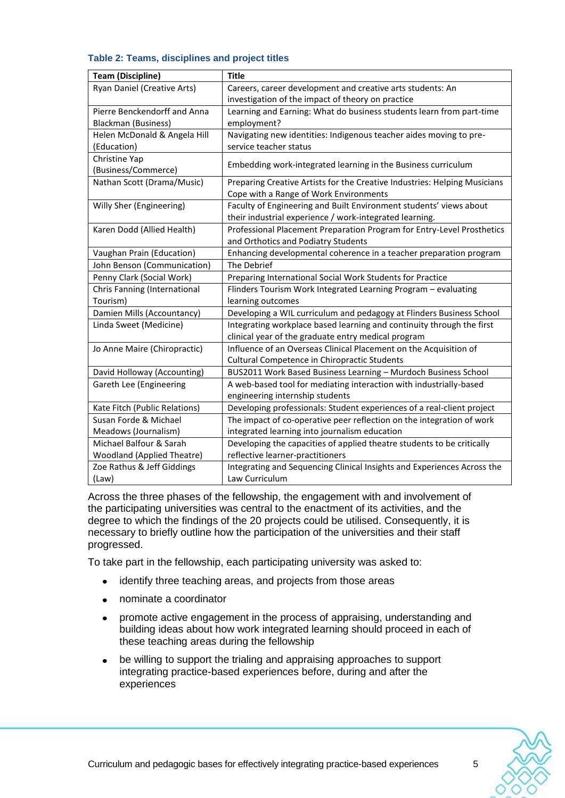|  |  | Table 2: Teams, disciplines and project titles |  |  |  |  |
|--|--|------------------------------------------------|--|--|--|--|
|--|--|------------------------------------------------|--|--|--|--|

| <b>Team (Discipline)</b>             | <b>Title</b>                                                              |
|--------------------------------------|---------------------------------------------------------------------------|
| Ryan Daniel (Creative Arts)          | Careers, career development and creative arts students: An                |
|                                      | investigation of the impact of theory on practice                         |
| Pierre Benckendorff and Anna         | Learning and Earning: What do business students learn from part-time      |
| <b>Blackman (Business)</b>           | employment?                                                               |
| Helen McDonald & Angela Hill         | Navigating new identities: Indigenous teacher aides moving to pre-        |
| (Education)                          | service teacher status                                                    |
| Christine Yap<br>(Business/Commerce) | Embedding work-integrated learning in the Business curriculum             |
| Nathan Scott (Drama/Music)           | Preparing Creative Artists for the Creative Industries: Helping Musicians |
|                                      | Cope with a Range of Work Environments                                    |
| Willy Sher (Engineering)             | Faculty of Engineering and Built Environment students' views about        |
|                                      | their industrial experience / work-integrated learning.                   |
| Karen Dodd (Allied Health)           | Professional Placement Preparation Program for Entry-Level Prosthetics    |
|                                      | and Orthotics and Podiatry Students                                       |
| Vaughan Prain (Education)            | Enhancing developmental coherence in a teacher preparation program        |
| John Benson (Communication)          | The Debrief                                                               |
| Penny Clark (Social Work)            | Preparing International Social Work Students for Practice                 |
| Chris Fanning (International         | Flinders Tourism Work Integrated Learning Program - evaluating            |
| Tourism)                             | learning outcomes                                                         |
| Damien Mills (Accountancy)           | Developing a WIL curriculum and pedagogy at Flinders Business School      |
| Linda Sweet (Medicine)               | Integrating workplace based learning and continuity through the first     |
|                                      | clinical year of the graduate entry medical program                       |
| Jo Anne Maire (Chiropractic)         | Influence of an Overseas Clinical Placement on the Acquisition of         |
|                                      | Cultural Competence in Chiropractic Students                              |
| David Holloway (Accounting)          | BUS2011 Work Based Business Learning - Murdoch Business School            |
| Gareth Lee (Engineering              | A web-based tool for mediating interaction with industrially-based        |
|                                      | engineering internship students                                           |
| Kate Fitch (Public Relations)        | Developing professionals: Student experiences of a real-client project    |
| Susan Forde & Michael                | The impact of co-operative peer reflection on the integration of work     |
| Meadows (Journalism)                 | integrated learning into journalism education                             |
| Michael Balfour & Sarah              | Developing the capacities of applied theatre students to be critically    |
| <b>Woodland (Applied Theatre)</b>    | reflective learner-practitioners                                          |
| Zoe Rathus & Jeff Giddings           | Integrating and Sequencing Clinical Insights and Experiences Across the   |
| (Law)                                | Law Curriculum                                                            |

Across the three phases of the fellowship, the engagement with and involvement of the participating universities was central to the enactment of its activities, and the degree to which the findings of the 20 projects could be utilised. Consequently, it is necessary to briefly outline how the participation of the universities and their staff progressed.

To take part in the fellowship, each participating university was asked to:

- identify three teaching areas, and projects from those areas  $\bullet$
- nominate a coordinator
- promote active engagement in the process of appraising, understanding and  $\bullet$ building ideas about how work integrated learning should proceed in each of these teaching areas during the fellowship
- be willing to support the trialing and appraising approaches to support  $\bullet$ integrating practice-based experiences before, during and after the experiences

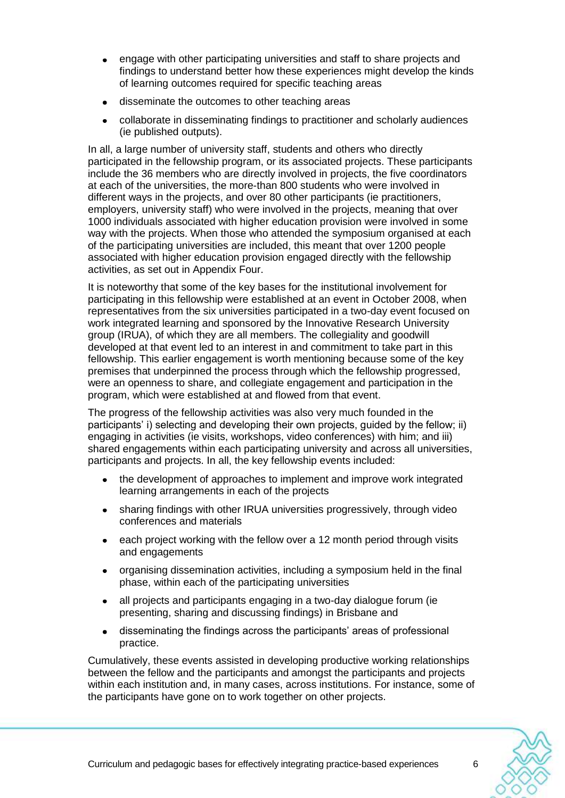- engage with other participating universities and staff to share projects and findings to understand better how these experiences might develop the kinds of learning outcomes required for specific teaching areas
- disseminate the outcomes to other teaching areas
- collaborate in disseminating findings to practitioner and scholarly audiences (ie published outputs).

In all, a large number of university staff, students and others who directly participated in the fellowship program, or its associated projects. These participants include the 36 members who are directly involved in projects, the five coordinators at each of the universities, the more-than 800 students who were involved in different ways in the projects, and over 80 other participants (ie practitioners, employers, university staff) who were involved in the projects, meaning that over 1000 individuals associated with higher education provision were involved in some way with the projects. When those who attended the symposium organised at each of the participating universities are included, this meant that over 1200 people associated with higher education provision engaged directly with the fellowship activities, as set out in Appendix Four.

It is noteworthy that some of the key bases for the institutional involvement for participating in this fellowship were established at an event in October 2008, when representatives from the six universities participated in a two-day event focused on work integrated learning and sponsored by the Innovative Research University group (IRUA), of which they are all members. The collegiality and goodwill developed at that event led to an interest in and commitment to take part in this fellowship. This earlier engagement is worth mentioning because some of the key premises that underpinned the process through which the fellowship progressed, were an openness to share, and collegiate engagement and participation in the program, which were established at and flowed from that event.

The progress of the fellowship activities was also very much founded in the participants" i) selecting and developing their own projects, guided by the fellow; ii) engaging in activities (ie visits, workshops, video conferences) with him; and iii) shared engagements within each participating university and across all universities, participants and projects. In all, the key fellowship events included:

- the development of approaches to implement and improve work integrated learning arrangements in each of the projects
- sharing findings with other IRUA universities progressively, through video conferences and materials
- each project working with the fellow over a 12 month period through visits and engagements
- organising dissemination activities, including a symposium held in the final phase, within each of the participating universities
- all projects and participants engaging in a two-day dialogue forum (ie presenting, sharing and discussing findings) in Brisbane and
- disseminating the findings across the participants' areas of professional practice.

Cumulatively, these events assisted in developing productive working relationships between the fellow and the participants and amongst the participants and projects within each institution and, in many cases, across institutions. For instance, some of the participants have gone on to work together on other projects.

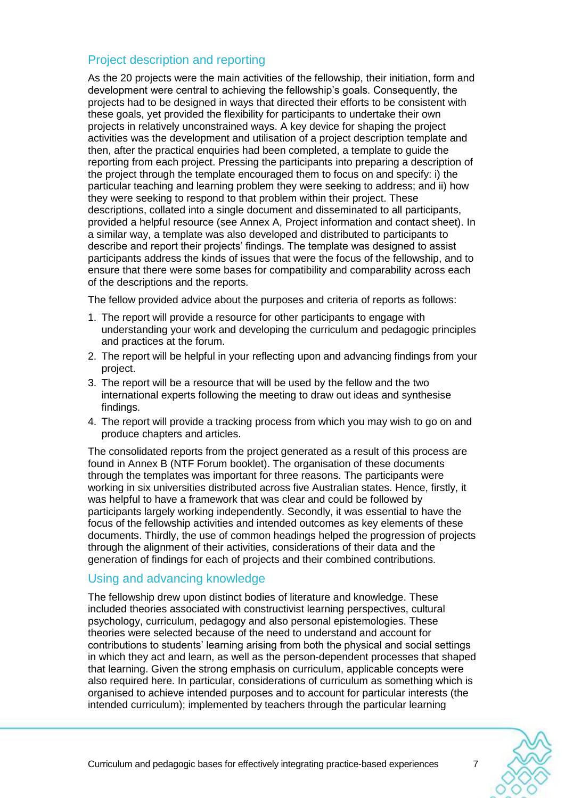# <span id="page-9-0"></span>Project description and reporting

As the 20 projects were the main activities of the fellowship, their initiation, form and development were central to achieving the fellowship"s goals. Consequently, the projects had to be designed in ways that directed their efforts to be consistent with these goals, yet provided the flexibility for participants to undertake their own projects in relatively unconstrained ways. A key device for shaping the project activities was the development and utilisation of a project description template and then, after the practical enquiries had been completed, a template to guide the reporting from each project. Pressing the participants into preparing a description of the project through the template encouraged them to focus on and specify: i) the particular teaching and learning problem they were seeking to address; and ii) how they were seeking to respond to that problem within their project. These descriptions, collated into a single document and disseminated to all participants, provided a helpful resource (see Annex A, Project information and contact sheet). In a similar way, a template was also developed and distributed to participants to describe and report their projects' findings. The template was designed to assist participants address the kinds of issues that were the focus of the fellowship, and to ensure that there were some bases for compatibility and comparability across each of the descriptions and the reports.

The fellow provided advice about the purposes and criteria of reports as follows:

- 1. The report will provide a resource for other participants to engage with understanding your work and developing the curriculum and pedagogic principles and practices at the forum.
- 2. The report will be helpful in your reflecting upon and advancing findings from your project.
- 3. The report will be a resource that will be used by the fellow and the two international experts following the meeting to draw out ideas and synthesise findings.
- 4. The report will provide a tracking process from which you may wish to go on and produce chapters and articles.

The consolidated reports from the project generated as a result of this process are found in Annex B (NTF Forum booklet). The organisation of these documents through the templates was important for three reasons. The participants were working in six universities distributed across five Australian states. Hence, firstly, it was helpful to have a framework that was clear and could be followed by participants largely working independently. Secondly, it was essential to have the focus of the fellowship activities and intended outcomes as key elements of these documents. Thirdly, the use of common headings helped the progression of projects through the alignment of their activities, considerations of their data and the generation of findings for each of projects and their combined contributions.

# <span id="page-9-1"></span>Using and advancing knowledge

The fellowship drew upon distinct bodies of literature and knowledge. These included theories associated with constructivist learning perspectives, cultural psychology, curriculum, pedagogy and also personal epistemologies. These theories were selected because of the need to understand and account for contributions to students" learning arising from both the physical and social settings in which they act and learn, as well as the person-dependent processes that shaped that learning. Given the strong emphasis on curriculum, applicable concepts were also required here. In particular, considerations of curriculum as something which is organised to achieve intended purposes and to account for particular interests (the intended curriculum); implemented by teachers through the particular learning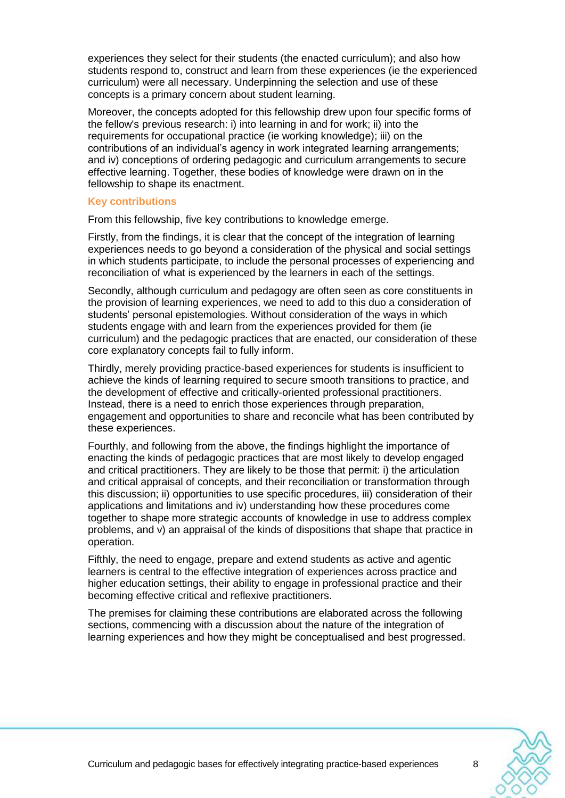experiences they select for their students (the enacted curriculum); and also how students respond to, construct and learn from these experiences (ie the experienced curriculum) were all necessary. Underpinning the selection and use of these concepts is a primary concern about student learning.

Moreover, the concepts adopted for this fellowship drew upon four specific forms of the fellow's previous research: i) into learning in and for work; ii) into the requirements for occupational practice (ie working knowledge); iii) on the contributions of an individual"s agency in work integrated learning arrangements; and iv) conceptions of ordering pedagogic and curriculum arrangements to secure effective learning. Together, these bodies of knowledge were drawn on in the fellowship to shape its enactment.

#### **Key contributions**

From this fellowship, five key contributions to knowledge emerge.

Firstly, from the findings, it is clear that the concept of the integration of learning experiences needs to go beyond a consideration of the physical and social settings in which students participate, to include the personal processes of experiencing and reconciliation of what is experienced by the learners in each of the settings.

Secondly, although curriculum and pedagogy are often seen as core constituents in the provision of learning experiences, we need to add to this duo a consideration of students" personal epistemologies. Without consideration of the ways in which students engage with and learn from the experiences provided for them (ie curriculum) and the pedagogic practices that are enacted, our consideration of these core explanatory concepts fail to fully inform.

Thirdly, merely providing practice-based experiences for students is insufficient to achieve the kinds of learning required to secure smooth transitions to practice, and the development of effective and critically-oriented professional practitioners. Instead, there is a need to enrich those experiences through preparation, engagement and opportunities to share and reconcile what has been contributed by these experiences.

Fourthly, and following from the above, the findings highlight the importance of enacting the kinds of pedagogic practices that are most likely to develop engaged and critical practitioners. They are likely to be those that permit: i) the articulation and critical appraisal of concepts, and their reconciliation or transformation through this discussion; ii) opportunities to use specific procedures, iii) consideration of their applications and limitations and iv) understanding how these procedures come together to shape more strategic accounts of knowledge in use to address complex problems, and v) an appraisal of the kinds of dispositions that shape that practice in operation.

Fifthly, the need to engage, prepare and extend students as active and agentic learners is central to the effective integration of experiences across practice and higher education settings, their ability to engage in professional practice and their becoming effective critical and reflexive practitioners.

The premises for claiming these contributions are elaborated across the following sections, commencing with a discussion about the nature of the integration of learning experiences and how they might be conceptualised and best progressed.

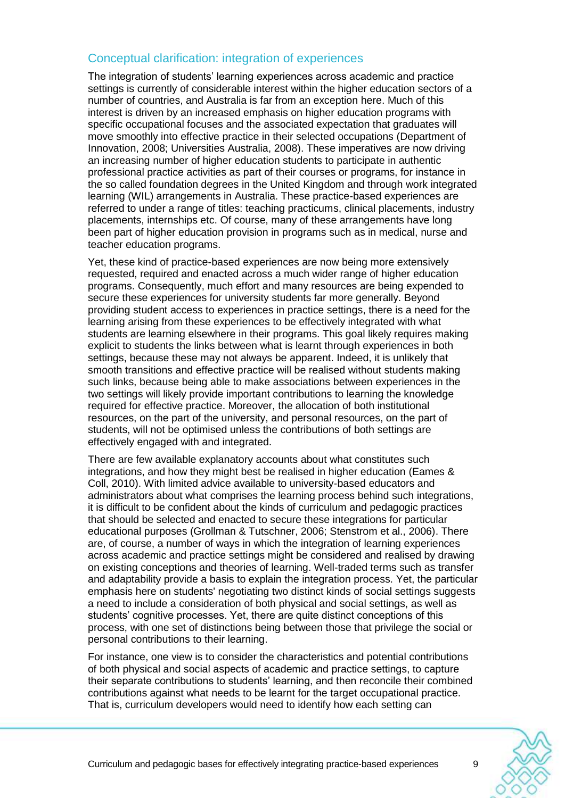# <span id="page-11-0"></span>Conceptual clarification: integration of experiences

The integration of students" learning experiences across academic and practice settings is currently of considerable interest within the higher education sectors of a number of countries, and Australia is far from an exception here. Much of this interest is driven by an increased emphasis on higher education programs with specific occupational focuses and the associated expectation that graduates will move smoothly into effective practice in their selected occupations (Department of Innovation, 2008; Universities Australia, 2008). These imperatives are now driving an increasing number of higher education students to participate in authentic professional practice activities as part of their courses or programs, for instance in the so called foundation degrees in the United Kingdom and through work integrated learning (WIL) arrangements in Australia. These practice-based experiences are referred to under a range of titles: teaching practicums, clinical placements, industry placements, internships etc. Of course, many of these arrangements have long been part of higher education provision in programs such as in medical, nurse and teacher education programs.

Yet, these kind of practice-based experiences are now being more extensively requested, required and enacted across a much wider range of higher education programs. Consequently, much effort and many resources are being expended to secure these experiences for university students far more generally. Beyond providing student access to experiences in practice settings, there is a need for the learning arising from these experiences to be effectively integrated with what students are learning elsewhere in their programs. This goal likely requires making explicit to students the links between what is learnt through experiences in both settings, because these may not always be apparent. Indeed, it is unlikely that smooth transitions and effective practice will be realised without students making such links, because being able to make associations between experiences in the two settings will likely provide important contributions to learning the knowledge required for effective practice. Moreover, the allocation of both institutional resources, on the part of the university, and personal resources, on the part of students, will not be optimised unless the contributions of both settings are effectively engaged with and integrated.

There are few available explanatory accounts about what constitutes such integrations, and how they might best be realised in higher education (Eames & Coll, 2010). With limited advice available to university-based educators and administrators about what comprises the learning process behind such integrations, it is difficult to be confident about the kinds of curriculum and pedagogic practices that should be selected and enacted to secure these integrations for particular educational purposes (Grollman & Tutschner, 2006; Stenstrom et al., 2006). There are, of course, a number of ways in which the integration of learning experiences across academic and practice settings might be considered and realised by drawing on existing conceptions and theories of learning. Well-traded terms such as transfer and adaptability provide a basis to explain the integration process. Yet, the particular emphasis here on students' negotiating two distinct kinds of social settings suggests a need to include a consideration of both physical and social settings, as well as students' cognitive processes. Yet, there are quite distinct conceptions of this process, with one set of distinctions being between those that privilege the social or personal contributions to their learning.

For instance, one view is to consider the characteristics and potential contributions of both physical and social aspects of academic and practice settings, to capture their separate contributions to students" learning, and then reconcile their combined contributions against what needs to be learnt for the target occupational practice. That is, curriculum developers would need to identify how each setting can

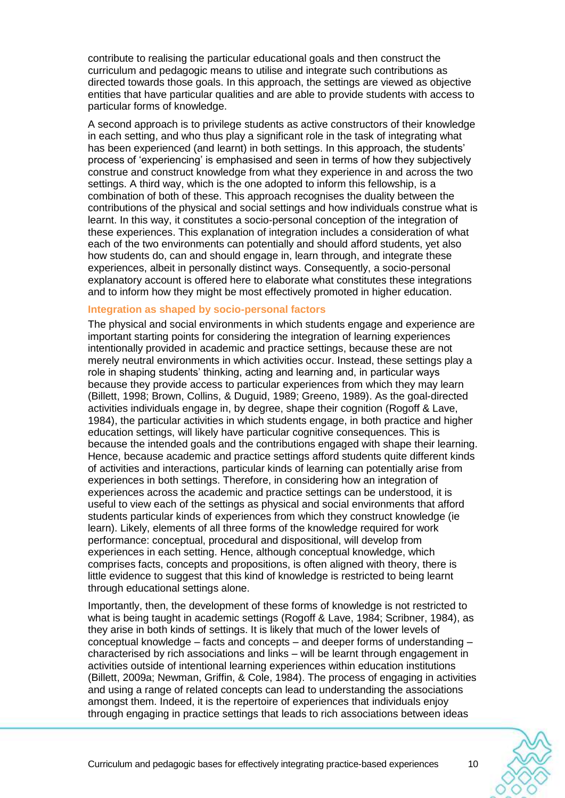contribute to realising the particular educational goals and then construct the curriculum and pedagogic means to utilise and integrate such contributions as directed towards those goals. In this approach, the settings are viewed as objective entities that have particular qualities and are able to provide students with access to particular forms of knowledge.

A second approach is to privilege students as active constructors of their knowledge in each setting, and who thus play a significant role in the task of integrating what has been experienced (and learnt) in both settings. In this approach, the students' process of "experiencing" is emphasised and seen in terms of how they subjectively construe and construct knowledge from what they experience in and across the two settings. A third way, which is the one adopted to inform this fellowship, is a combination of both of these. This approach recognises the duality between the contributions of the physical and social settings and how individuals construe what is learnt. In this way, it constitutes a socio-personal conception of the integration of these experiences. This explanation of integration includes a consideration of what each of the two environments can potentially and should afford students, yet also how students do, can and should engage in, learn through, and integrate these experiences, albeit in personally distinct ways. Consequently, a socio-personal explanatory account is offered here to elaborate what constitutes these integrations and to inform how they might be most effectively promoted in higher education.

#### **Integration as shaped by socio-personal factors**

The physical and social environments in which students engage and experience are important starting points for considering the integration of learning experiences intentionally provided in academic and practice settings, because these are not merely neutral environments in which activities occur. Instead, these settings play a role in shaping students" thinking, acting and learning and, in particular ways because they provide access to particular experiences from which they may learn (Billett, 1998; Brown, Collins, & Duguid, 1989; Greeno, 1989). As the goal-directed activities individuals engage in, by degree, shape their cognition (Rogoff & Lave, 1984), the particular activities in which students engage, in both practice and higher education settings, will likely have particular cognitive consequences. This is because the intended goals and the contributions engaged with shape their learning. Hence, because academic and practice settings afford students quite different kinds of activities and interactions, particular kinds of learning can potentially arise from experiences in both settings. Therefore, in considering how an integration of experiences across the academic and practice settings can be understood, it is useful to view each of the settings as physical and social environments that afford students particular kinds of experiences from which they construct knowledge (ie learn). Likely, elements of all three forms of the knowledge required for work performance: conceptual, procedural and dispositional, will develop from experiences in each setting. Hence, although conceptual knowledge, which comprises facts, concepts and propositions, is often aligned with theory, there is little evidence to suggest that this kind of knowledge is restricted to being learnt through educational settings alone.

Importantly, then, the development of these forms of knowledge is not restricted to what is being taught in academic settings (Rogoff & Lave, 1984; Scribner, 1984), as they arise in both kinds of settings. It is likely that much of the lower levels of conceptual knowledge – facts and concepts – and deeper forms of understanding – characterised by rich associations and links – will be learnt through engagement in activities outside of intentional learning experiences within education institutions (Billett, 2009a; Newman, Griffin, & Cole, 1984). The process of engaging in activities and using a range of related concepts can lead to understanding the associations amongst them. Indeed, it is the repertoire of experiences that individuals enjoy through engaging in practice settings that leads to rich associations between ideas

Curriculum and pedagogic bases for effectively integrating practice-based experiences 10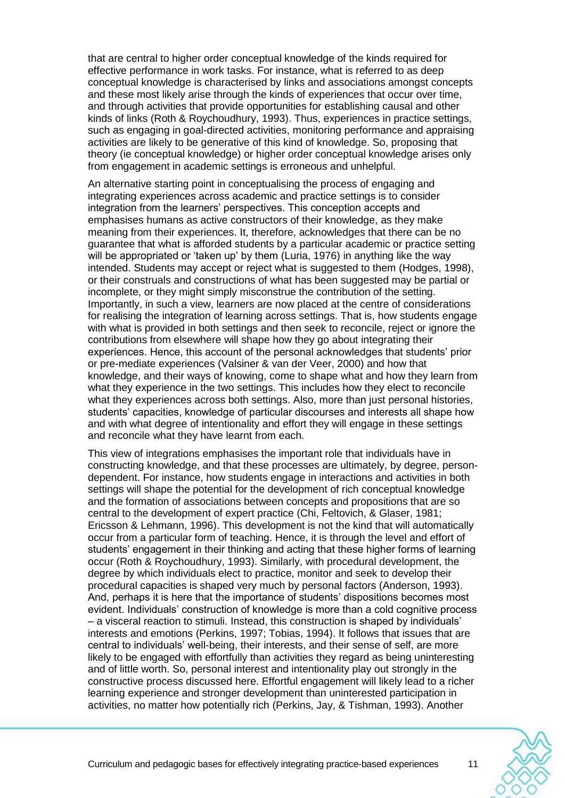that are central to higher order conceptual knowledge of the kinds required for effective performance in work tasks. For instance, what is referred to as deep conceptual knowledge is characterised by links and associations amongst concepts and these most likely arise through the kinds of experiences that occur over time, and through activities that provide opportunities for establishing causal and other kinds of links (Roth & Roychoudhury, 1993). Thus, experiences in practice settings, such as engaging in goal-directed activities, monitoring performance and appraising activities are likely to be generative of this kind of knowledge. So, proposing that theory (ie conceptual knowledge) or higher order conceptual knowledge arises only from engagement in academic settings is erroneous and unhelpful.

An alternative starting point in conceptualising the process of engaging and integrating experiences across academic and practice settings is to consider integration from the learners' perspectives. This conception accepts and emphasises humans as active constructors of their knowledge, as they make meaning from their experiences. It, therefore, acknowledges that there can be no guarantee that what is afforded students by a particular academic or practice setting will be appropriated or 'taken up' by them (Luria, 1976) in anything like the way intended. Students may accept or reject what is suggested to them (Hodges, 1998), or their construals and constructions of what has been suggested may be partial or incomplete, or they might simply misconstrue the contribution of the setting. Importantly, in such a view, learners are now placed at the centre of considerations for realising the integration of learning across settings. That is, how students engage with what is provided in both settings and then seek to reconcile, reject or ignore the contributions from elsewhere will shape how they go about integrating their experiences. Hence, this account of the personal acknowledges that students" prior or pre-mediate experiences (Valsiner & van der Veer, 2000) and how that knowledge, and their ways of knowing, come to shape what and how they learn from what they experience in the two settings. This includes how they elect to reconcile what they experiences across both settings. Also, more than just personal histories, students" capacities, knowledge of particular discourses and interests all shape how and with what degree of intentionality and effort they will engage in these settings and reconcile what they have learnt from each.

This view of integrations emphasises the important role that individuals have in constructing knowledge, and that these processes are ultimately, by degree, persondependent. For instance, how students engage in interactions and activities in both settings will shape the potential for the development of rich conceptual knowledge and the formation of associations between concepts and propositions that are so central to the development of expert practice (Chi, Feltovich, & Glaser, 1981; Ericsson & Lehmann, 1996). This development is not the kind that will automatically occur from a particular form of teaching. Hence, it is through the level and effort of students' engagement in their thinking and acting that these higher forms of learning occur (Roth & Roychoudhury, 1993). Similarly, with procedural development, the degree by which individuals elect to practice, monitor and seek to develop their procedural capacities is shaped very much by personal factors (Anderson, 1993). And, perhaps it is here that the importance of students' dispositions becomes most evident. Individuals" construction of knowledge is more than a cold cognitive process – a visceral reaction to stimuli. Instead, this construction is shaped by individuals" interests and emotions (Perkins, 1997; Tobias, 1994). It follows that issues that are central to individuals" well-being, their interests, and their sense of self, are more likely to be engaged with effortfully than activities they regard as being uninteresting and of little worth. So, personal interest and intentionality play out strongly in the constructive process discussed here. Effortful engagement will likely lead to a richer learning experience and stronger development than uninterested participation in activities, no matter how potentially rich (Perkins, Jay, & Tishman, 1993). Another

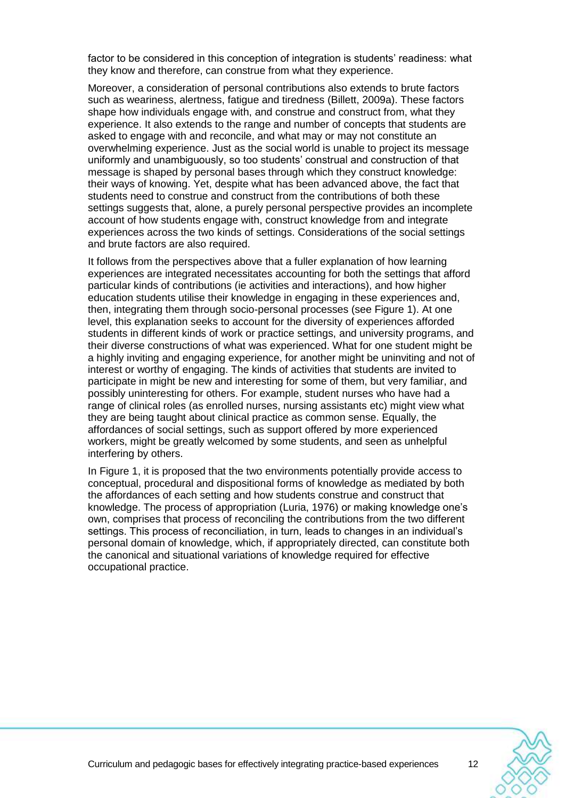factor to be considered in this conception of integration is students' readiness: what they know and therefore, can construe from what they experience.

Moreover, a consideration of personal contributions also extends to brute factors such as weariness, alertness, fatigue and tiredness (Billett, 2009a). These factors shape how individuals engage with, and construe and construct from, what they experience. It also extends to the range and number of concepts that students are asked to engage with and reconcile, and what may or may not constitute an overwhelming experience. Just as the social world is unable to project its message uniformly and unambiguously, so too students' construal and construction of that message is shaped by personal bases through which they construct knowledge: their ways of knowing. Yet, despite what has been advanced above, the fact that students need to construe and construct from the contributions of both these settings suggests that, alone, a purely personal perspective provides an incomplete account of how students engage with, construct knowledge from and integrate experiences across the two kinds of settings. Considerations of the social settings and brute factors are also required.

It follows from the perspectives above that a fuller explanation of how learning experiences are integrated necessitates accounting for both the settings that afford particular kinds of contributions (ie activities and interactions), and how higher education students utilise their knowledge in engaging in these experiences and, then, integrating them through socio-personal processes (see Figure 1). At one level, this explanation seeks to account for the diversity of experiences afforded students in different kinds of work or practice settings, and university programs, and their diverse constructions of what was experienced. What for one student might be a highly inviting and engaging experience, for another might be uninviting and not of interest or worthy of engaging. The kinds of activities that students are invited to participate in might be new and interesting for some of them, but very familiar, and possibly uninteresting for others. For example, student nurses who have had a range of clinical roles (as enrolled nurses, nursing assistants etc) might view what they are being taught about clinical practice as common sense. Equally, the affordances of social settings, such as support offered by more experienced workers, might be greatly welcomed by some students, and seen as unhelpful interfering by others.

In Figure 1, it is proposed that the two environments potentially provide access to conceptual, procedural and dispositional forms of knowledge as mediated by both the affordances of each setting and how students construe and construct that knowledge. The process of appropriation (Luria, 1976) or making knowledge one"s own, comprises that process of reconciling the contributions from the two different settings. This process of reconciliation, in turn, leads to changes in an individual's personal domain of knowledge, which, if appropriately directed, can constitute both the canonical and situational variations of knowledge required for effective occupational practice.

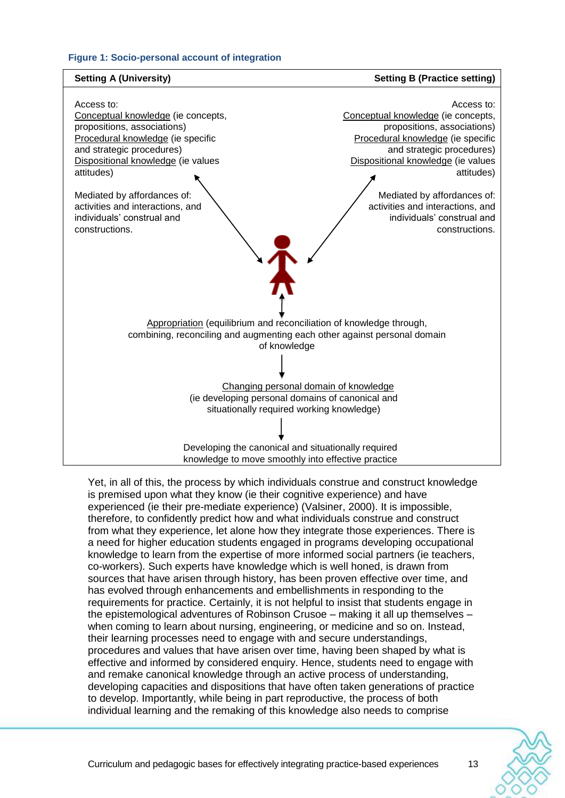#### **Figure 1: Socio-personal account of integration**



Yet, in all of this, the process by which individuals construe and construct knowledge is premised upon what they know (ie their cognitive experience) and have experienced (ie their pre-mediate experience) (Valsiner, 2000). It is impossible, therefore, to confidently predict how and what individuals construe and construct from what they experience, let alone how they integrate those experiences. There is a need for higher education students engaged in programs developing occupational knowledge to learn from the expertise of more informed social partners (ie teachers, co-workers). Such experts have knowledge which is well honed, is drawn from sources that have arisen through history, has been proven effective over time, and has evolved through enhancements and embellishments in responding to the requirements for practice. Certainly, it is not helpful to insist that students engage in the epistemological adventures of Robinson Crusoe – making it all up themselves – when coming to learn about nursing, engineering, or medicine and so on. Instead, their learning processes need to engage with and secure understandings, procedures and values that have arisen over time, having been shaped by what is effective and informed by considered enquiry. Hence, students need to engage with and remake canonical knowledge through an active process of understanding, developing capacities and dispositions that have often taken generations of practice to develop. Importantly, while being in part reproductive, the process of both individual learning and the remaking of this knowledge also needs to comprise



Curriculum and pedagogic bases for effectively integrating practice-based experiences 13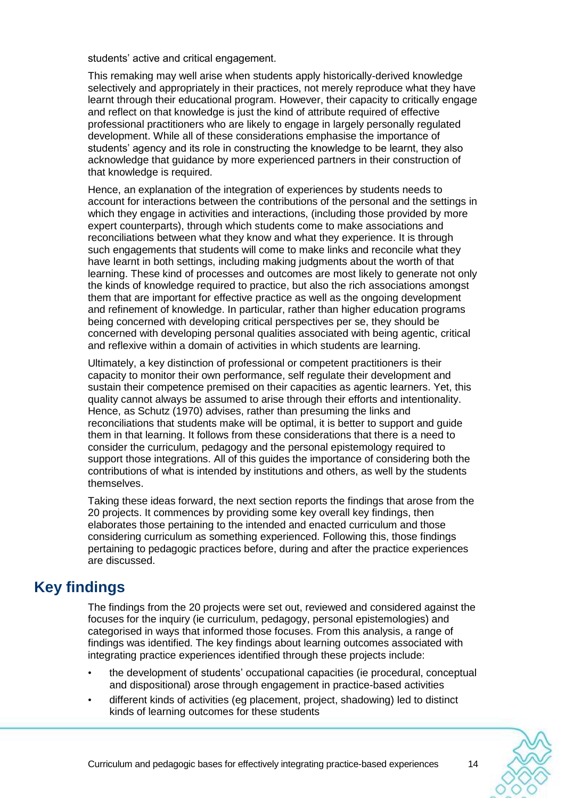students' active and critical engagement.

This remaking may well arise when students apply historically-derived knowledge selectively and appropriately in their practices, not merely reproduce what they have learnt through their educational program. However, their capacity to critically engage and reflect on that knowledge is just the kind of attribute required of effective professional practitioners who are likely to engage in largely personally regulated development. While all of these considerations emphasise the importance of students" agency and its role in constructing the knowledge to be learnt, they also acknowledge that guidance by more experienced partners in their construction of that knowledge is required.

Hence, an explanation of the integration of experiences by students needs to account for interactions between the contributions of the personal and the settings in which they engage in activities and interactions, (including those provided by more expert counterparts), through which students come to make associations and reconciliations between what they know and what they experience. It is through such engagements that students will come to make links and reconcile what they have learnt in both settings, including making judgments about the worth of that learning. These kind of processes and outcomes are most likely to generate not only the kinds of knowledge required to practice, but also the rich associations amongst them that are important for effective practice as well as the ongoing development and refinement of knowledge. In particular, rather than higher education programs being concerned with developing critical perspectives per se, they should be concerned with developing personal qualities associated with being agentic, critical and reflexive within a domain of activities in which students are learning.

Ultimately, a key distinction of professional or competent practitioners is their capacity to monitor their own performance, self regulate their development and sustain their competence premised on their capacities as agentic learners. Yet, this quality cannot always be assumed to arise through their efforts and intentionality. Hence, as Schutz (1970) advises, rather than presuming the links and reconciliations that students make will be optimal, it is better to support and guide them in that learning. It follows from these considerations that there is a need to consider the curriculum, pedagogy and the personal epistemology required to support those integrations. All of this guides the importance of considering both the contributions of what is intended by institutions and others, as well by the students themselves.

Taking these ideas forward, the next section reports the findings that arose from the 20 projects. It commences by providing some key overall key findings, then elaborates those pertaining to the intended and enacted curriculum and those considering curriculum as something experienced. Following this, those findings pertaining to pedagogic practices before, during and after the practice experiences are discussed.

# <span id="page-16-0"></span>**Key findings**

The findings from the 20 projects were set out, reviewed and considered against the focuses for the inquiry (ie curriculum, pedagogy, personal epistemologies) and categorised in ways that informed those focuses. From this analysis, a range of findings was identified. The key findings about learning outcomes associated with integrating practice experiences identified through these projects include:

- the development of students" occupational capacities (ie procedural, conceptual and dispositional) arose through engagement in practice-based activities
- different kinds of activities (eg placement, project, shadowing) led to distinct kinds of learning outcomes for these students

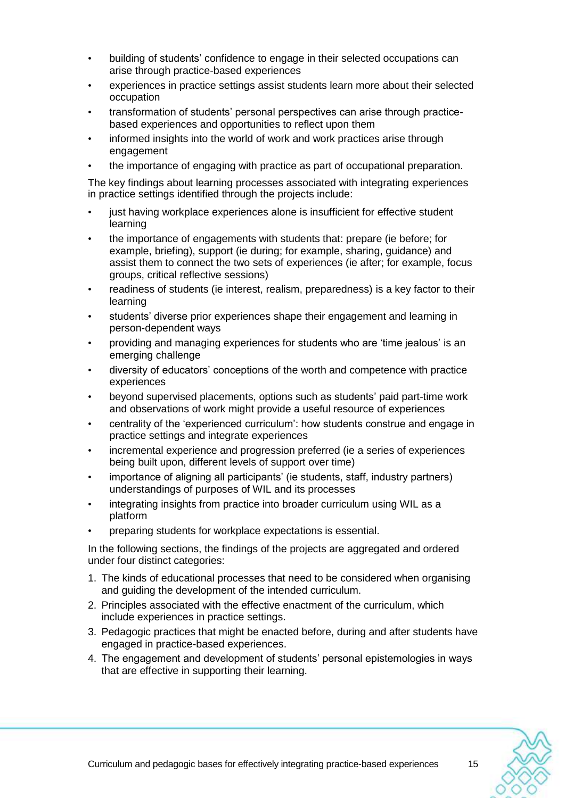- building of students" confidence to engage in their selected occupations can arise through practice-based experiences
- experiences in practice settings assist students learn more about their selected occupation
- transformation of students" personal perspectives can arise through practicebased experiences and opportunities to reflect upon them
- informed insights into the world of work and work practices arise through engagement
- the importance of engaging with practice as part of occupational preparation.

The key findings about learning processes associated with integrating experiences in practice settings identified through the projects include:

- just having workplace experiences alone is insufficient for effective student learning
- the importance of engagements with students that: prepare (ie before; for example, briefing), support (ie during; for example, sharing, guidance) and assist them to connect the two sets of experiences (ie after; for example, focus groups, critical reflective sessions)
- readiness of students (ie interest, realism, preparedness) is a key factor to their learning
- students' diverse prior experiences shape their engagement and learning in person-dependent ways
- providing and managing experiences for students who are "time jealous" is an emerging challenge
- diversity of educators" conceptions of the worth and competence with practice experiences
- beyond supervised placements, options such as students" paid part-time work and observations of work might provide a useful resource of experiences
- centrality of the "experienced curriculum": how students construe and engage in practice settings and integrate experiences
- incremental experience and progression preferred (ie a series of experiences being built upon, different levels of support over time)
- importance of aligning all participants' (ie students, staff, industry partners) understandings of purposes of WIL and its processes
- integrating insights from practice into broader curriculum using WIL as a platform
- preparing students for workplace expectations is essential.

In the following sections, the findings of the projects are aggregated and ordered under four distinct categories:

- 1. The kinds of educational processes that need to be considered when organising and guiding the development of the intended curriculum.
- 2. Principles associated with the effective enactment of the curriculum, which include experiences in practice settings.
- 3. Pedagogic practices that might be enacted before, during and after students have engaged in practice-based experiences.
- 4. The engagement and development of students" personal epistemologies in ways that are effective in supporting their learning.

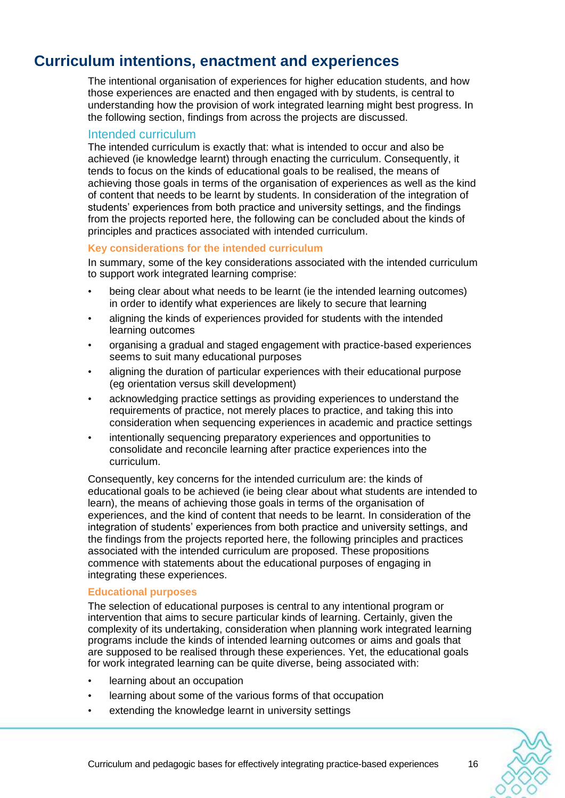# <span id="page-18-0"></span>**Curriculum intentions, enactment and experiences**

The intentional organisation of experiences for higher education students, and how those experiences are enacted and then engaged with by students, is central to understanding how the provision of work integrated learning might best progress. In the following section, findings from across the projects are discussed.

#### <span id="page-18-1"></span>Intended curriculum

The intended curriculum is exactly that: what is intended to occur and also be achieved (ie knowledge learnt) through enacting the curriculum. Consequently, it tends to focus on the kinds of educational goals to be realised, the means of achieving those goals in terms of the organisation of experiences as well as the kind of content that needs to be learnt by students. In consideration of the integration of students" experiences from both practice and university settings, and the findings from the projects reported here, the following can be concluded about the kinds of principles and practices associated with intended curriculum.

#### **Key considerations for the intended curriculum**

In summary, some of the key considerations associated with the intended curriculum to support work integrated learning comprise:

- being clear about what needs to be learnt (ie the intended learning outcomes) in order to identify what experiences are likely to secure that learning
- aligning the kinds of experiences provided for students with the intended learning outcomes
- organising a gradual and staged engagement with practice-based experiences seems to suit many educational purposes
- aligning the duration of particular experiences with their educational purpose (eg orientation versus skill development)
- acknowledging practice settings as providing experiences to understand the requirements of practice, not merely places to practice, and taking this into consideration when sequencing experiences in academic and practice settings
- intentionally sequencing preparatory experiences and opportunities to consolidate and reconcile learning after practice experiences into the curriculum.

Consequently, key concerns for the intended curriculum are: the kinds of educational goals to be achieved (ie being clear about what students are intended to learn), the means of achieving those goals in terms of the organisation of experiences, and the kind of content that needs to be learnt. In consideration of the integration of students' experiences from both practice and university settings, and the findings from the projects reported here, the following principles and practices associated with the intended curriculum are proposed. These propositions commence with statements about the educational purposes of engaging in integrating these experiences.

#### **Educational purposes**

The selection of educational purposes is central to any intentional program or intervention that aims to secure particular kinds of learning. Certainly, given the complexity of its undertaking, consideration when planning work integrated learning programs include the kinds of intended learning outcomes or aims and goals that are supposed to be realised through these experiences. Yet, the educational goals for work integrated learning can be quite diverse, being associated with:

- learning about an occupation
- learning about some of the various forms of that occupation
- extending the knowledge learnt in university settings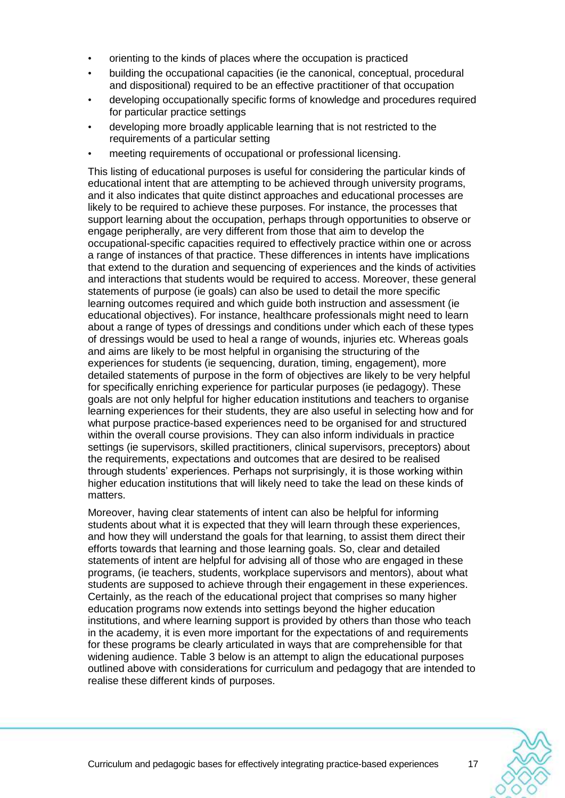- orienting to the kinds of places where the occupation is practiced
- building the occupational capacities (ie the canonical, conceptual, procedural and dispositional) required to be an effective practitioner of that occupation
- developing occupationally specific forms of knowledge and procedures required for particular practice settings
- developing more broadly applicable learning that is not restricted to the requirements of a particular setting
- meeting requirements of occupational or professional licensing.

This listing of educational purposes is useful for considering the particular kinds of educational intent that are attempting to be achieved through university programs, and it also indicates that quite distinct approaches and educational processes are likely to be required to achieve these purposes. For instance, the processes that support learning about the occupation, perhaps through opportunities to observe or engage peripherally, are very different from those that aim to develop the occupational-specific capacities required to effectively practice within one or across a range of instances of that practice. These differences in intents have implications that extend to the duration and sequencing of experiences and the kinds of activities and interactions that students would be required to access. Moreover, these general statements of purpose (ie goals) can also be used to detail the more specific learning outcomes required and which guide both instruction and assessment (ie educational objectives). For instance, healthcare professionals might need to learn about a range of types of dressings and conditions under which each of these types of dressings would be used to heal a range of wounds, injuries etc. Whereas goals and aims are likely to be most helpful in organising the structuring of the experiences for students (ie sequencing, duration, timing, engagement), more detailed statements of purpose in the form of objectives are likely to be very helpful for specifically enriching experience for particular purposes (ie pedagogy). These goals are not only helpful for higher education institutions and teachers to organise learning experiences for their students, they are also useful in selecting how and for what purpose practice-based experiences need to be organised for and structured within the overall course provisions. They can also inform individuals in practice settings (ie supervisors, skilled practitioners, clinical supervisors, preceptors) about the requirements, expectations and outcomes that are desired to be realised through students" experiences. Perhaps not surprisingly, it is those working within higher education institutions that will likely need to take the lead on these kinds of matters.

Moreover, having clear statements of intent can also be helpful for informing students about what it is expected that they will learn through these experiences, and how they will understand the goals for that learning, to assist them direct their efforts towards that learning and those learning goals. So, clear and detailed statements of intent are helpful for advising all of those who are engaged in these programs, (ie teachers, students, workplace supervisors and mentors), about what students are supposed to achieve through their engagement in these experiences. Certainly, as the reach of the educational project that comprises so many higher education programs now extends into settings beyond the higher education institutions, and where learning support is provided by others than those who teach in the academy, it is even more important for the expectations of and requirements for these programs be clearly articulated in ways that are comprehensible for that widening audience. Table 3 below is an attempt to align the educational purposes outlined above with considerations for curriculum and pedagogy that are intended to realise these different kinds of purposes.

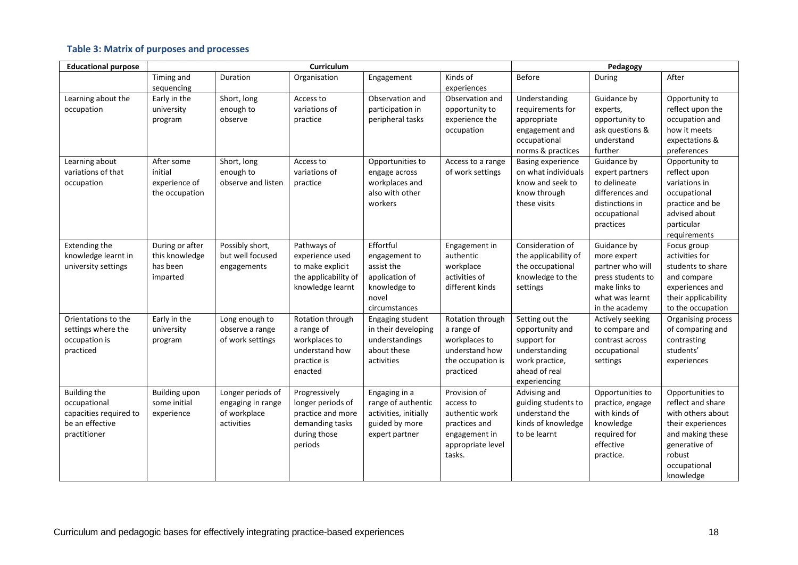## **Table 3: Matrix of purposes and processes**

| <b>Educational purpose</b>          | <b>Curriculum</b>                    |                                        |                                    | Pedagogy                            |                   |                                     |                                      |                                       |
|-------------------------------------|--------------------------------------|----------------------------------------|------------------------------------|-------------------------------------|-------------------|-------------------------------------|--------------------------------------|---------------------------------------|
|                                     | Timing and                           | Duration                               | Organisation                       | Engagement                          | Kinds of          | <b>Before</b>                       | During                               | After                                 |
|                                     | sequencing                           |                                        |                                    |                                     | experiences       |                                     |                                      |                                       |
| Learning about the                  | Early in the                         | Short, long                            | Access to                          | Observation and                     | Observation and   | Understanding                       | Guidance by                          | Opportunity to                        |
| occupation                          | university                           | enough to                              | variations of                      | participation in                    | opportunity to    | requirements for                    | experts,                             | reflect upon the                      |
|                                     | program                              | observe                                | practice                           | peripheral tasks                    | experience the    | appropriate                         | opportunity to                       | occupation and                        |
|                                     |                                      |                                        |                                    |                                     | occupation        | engagement and                      | ask questions &                      | how it meets                          |
|                                     |                                      |                                        |                                    |                                     |                   | occupational                        | understand                           | expectations &                        |
|                                     |                                      |                                        |                                    |                                     |                   | norms & practices                   | further                              | preferences                           |
| Learning about                      | After some                           | Short, long                            | Access to                          | Opportunities to                    | Access to a range | <b>Basing experience</b>            | Guidance by                          | Opportunity to                        |
| variations of that                  | initial                              | enough to                              | variations of                      | engage across                       | of work settings  | on what individuals                 | expert partners                      | reflect upon                          |
| occupation                          | experience of                        | observe and listen                     | practice                           | workplaces and                      |                   | know and seek to                    | to delineate                         | variations in                         |
|                                     | the occupation                       |                                        |                                    | also with other                     |                   | know through                        | differences and                      | occupational                          |
|                                     |                                      |                                        |                                    | workers                             |                   | these visits                        | distinctions in                      | practice and be                       |
|                                     |                                      |                                        |                                    |                                     |                   |                                     | occupational                         | advised about                         |
|                                     |                                      |                                        |                                    |                                     |                   |                                     | practices                            | particular                            |
|                                     |                                      |                                        |                                    |                                     |                   |                                     |                                      | requirements                          |
| Extending the                       | During or after                      | Possibly short,                        | Pathways of                        | Effortful                           | Engagement in     | Consideration of                    | Guidance by                          | Focus group                           |
| knowledge learnt in                 | this knowledge                       | but well focused                       | experience used                    | engagement to                       | authentic         | the applicability of                | more expert                          | activities for                        |
| university settings                 | has been                             | engagements                            | to make explicit                   | assist the                          | workplace         | the occupational                    | partner who will                     | students to share                     |
|                                     | imparted                             |                                        | the applicability of               | application of                      | activities of     | knowledge to the                    | press students to                    | and compare                           |
|                                     |                                      |                                        | knowledge learnt                   | knowledge to                        | different kinds   | settings                            | make links to                        | experiences and                       |
|                                     |                                      |                                        |                                    | novel                               |                   |                                     | what was learnt                      | their applicability                   |
|                                     |                                      |                                        |                                    | circumstances                       |                   |                                     | in the academy                       | to the occupation                     |
| Orientations to the                 | Early in the                         | Long enough to                         | Rotation through                   | Engaging student                    | Rotation through  | Setting out the                     | Actively seeking                     | Organising process                    |
| settings where the                  | university                           | observe a range                        | a range of                         | in their developing                 | a range of        | opportunity and                     | to compare and                       | of comparing and                      |
| occupation is                       | program                              | of work settings                       | workplaces to                      | understandings                      | workplaces to     | support for                         | contrast across                      | contrasting                           |
| practiced                           |                                      |                                        | understand how                     | about these                         | understand how    | understanding                       | occupational                         | students'                             |
|                                     |                                      |                                        | practice is                        | activities                          | the occupation is | work practice,<br>ahead of real     | settings                             | experiences                           |
|                                     |                                      |                                        | enacted                            |                                     | practiced         |                                     |                                      |                                       |
|                                     |                                      |                                        |                                    |                                     | Provision of      | experiencing                        |                                      |                                       |
| <b>Building the</b><br>occupational | <b>Building upon</b><br>some initial | Longer periods of<br>engaging in range | Progressively<br>longer periods of | Engaging in a<br>range of authentic | access to         | Advising and<br>guiding students to | Opportunities to<br>practice, engage | Opportunities to<br>reflect and share |
| capacities required to              | experience                           | of workplace                           | practice and more                  | activities, initially               | authentic work    | understand the                      | with kinds of                        | with others about                     |
| be an effective                     |                                      | activities                             | demanding tasks                    | guided by more                      | practices and     | kinds of knowledge                  | knowledge                            | their experiences                     |
| practitioner                        |                                      |                                        | during those                       | expert partner                      | engagement in     | to be learnt                        | required for                         | and making these                      |
|                                     |                                      |                                        | periods                            |                                     | appropriate level |                                     | effective                            | generative of                         |
|                                     |                                      |                                        |                                    |                                     | tasks.            |                                     | practice.                            | robust                                |
|                                     |                                      |                                        |                                    |                                     |                   |                                     |                                      | occupational                          |
|                                     |                                      |                                        |                                    |                                     |                   |                                     |                                      |                                       |
|                                     |                                      |                                        |                                    |                                     |                   |                                     |                                      | knowledge                             |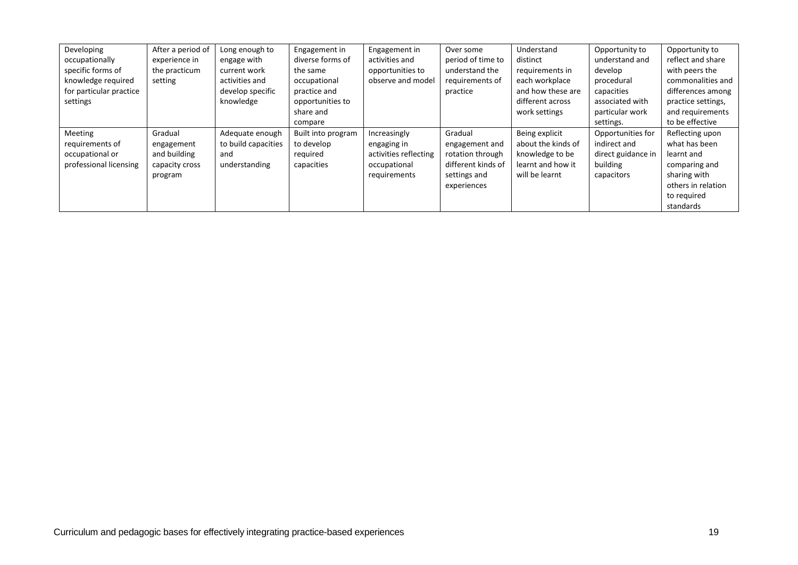| Developing              | After a period of | Long enough to      | Engagement in      | Engagement in         | Over some          | Understand         | Opportunity to     | Opportunity to     |
|-------------------------|-------------------|---------------------|--------------------|-----------------------|--------------------|--------------------|--------------------|--------------------|
| occupationally          | experience in     | engage with         | diverse forms of   | activities and        | period of time to  | distinct           | understand and     | reflect and share  |
| specific forms of       | the practicum     | current work        | the same           | opportunities to      | understand the     | requirements in    | develop            | with peers the     |
| knowledge required      | setting           | activities and      | occupational       | observe and model     | requirements of    | each workplace     | procedural         | commonalities and  |
| for particular practice |                   | develop specific    | practice and       |                       | practice           | and how these are  | capacities         | differences among  |
| settings                |                   | knowledge           | opportunities to   |                       |                    | different across   | associated with    | practice settings, |
|                         |                   |                     | share and          |                       |                    | work settings      | particular work    | and requirements   |
|                         |                   |                     | compare            |                       |                    |                    | settings.          | to be effective    |
| <b>Meeting</b>          | Gradual           | Adequate enough     | Built into program | Increasingly          | Gradual            | Being explicit     | Opportunities for  | Reflecting upon    |
| requirements of         | engagement        | to build capacities | to develop         | engaging in           | engagement and     | about the kinds of | indirect and       | what has been      |
| occupational or         | and building      | and                 | required           | activities reflecting | rotation through   | knowledge to be    | direct guidance in | learnt and         |
| professional licensing  | capacity cross    | understanding       | capacities         | occupational          | different kinds of | learnt and how it  | building           | comparing and      |
|                         | program           |                     |                    | requirements          | settings and       | will be learnt     | capacitors         | sharing with       |
|                         |                   |                     |                    |                       | experiences        |                    |                    | others in relation |
|                         |                   |                     |                    |                       |                    |                    |                    | to required        |
|                         |                   |                     |                    |                       |                    |                    |                    | standards          |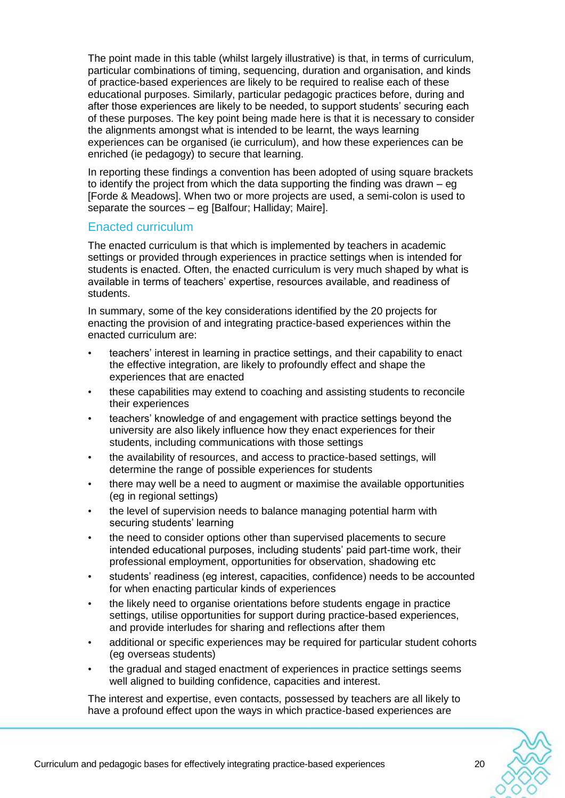The point made in this table (whilst largely illustrative) is that, in terms of curriculum, particular combinations of timing, sequencing, duration and organisation, and kinds of practice-based experiences are likely to be required to realise each of these educational purposes. Similarly, particular pedagogic practices before, during and after those experiences are likely to be needed, to support students" securing each of these purposes. The key point being made here is that it is necessary to consider the alignments amongst what is intended to be learnt, the ways learning experiences can be organised (ie curriculum), and how these experiences can be enriched (ie pedagogy) to secure that learning.

In reporting these findings a convention has been adopted of using square brackets to identify the project from which the data supporting the finding was drawn – eg [Forde & Meadows]. When two or more projects are used, a semi-colon is used to separate the sources – eg [Balfour; Halliday; Maire].

### <span id="page-22-0"></span>Enacted curriculum

The enacted curriculum is that which is implemented by teachers in academic settings or provided through experiences in practice settings when is intended for students is enacted. Often, the enacted curriculum is very much shaped by what is available in terms of teachers' expertise, resources available, and readiness of students.

In summary, some of the key considerations identified by the 20 projects for enacting the provision of and integrating practice-based experiences within the enacted curriculum are:

- teachers" interest in learning in practice settings, and their capability to enact the effective integration, are likely to profoundly effect and shape the experiences that are enacted
- these capabilities may extend to coaching and assisting students to reconcile their experiences
- teachers" knowledge of and engagement with practice settings beyond the university are also likely influence how they enact experiences for their students, including communications with those settings
- the availability of resources, and access to practice-based settings, will determine the range of possible experiences for students
- there may well be a need to augment or maximise the available opportunities (eg in regional settings)
- the level of supervision needs to balance managing potential harm with securing students' learning
- the need to consider options other than supervised placements to secure intended educational purposes, including students' paid part-time work, their professional employment, opportunities for observation, shadowing etc
- students" readiness (eg interest, capacities, confidence) needs to be accounted for when enacting particular kinds of experiences
- the likely need to organise orientations before students engage in practice settings, utilise opportunities for support during practice-based experiences, and provide interludes for sharing and reflections after them
- additional or specific experiences may be required for particular student cohorts (eg overseas students)
- the gradual and staged enactment of experiences in practice settings seems well aligned to building confidence, capacities and interest.

The interest and expertise, even contacts, possessed by teachers are all likely to have a profound effect upon the ways in which practice-based experiences are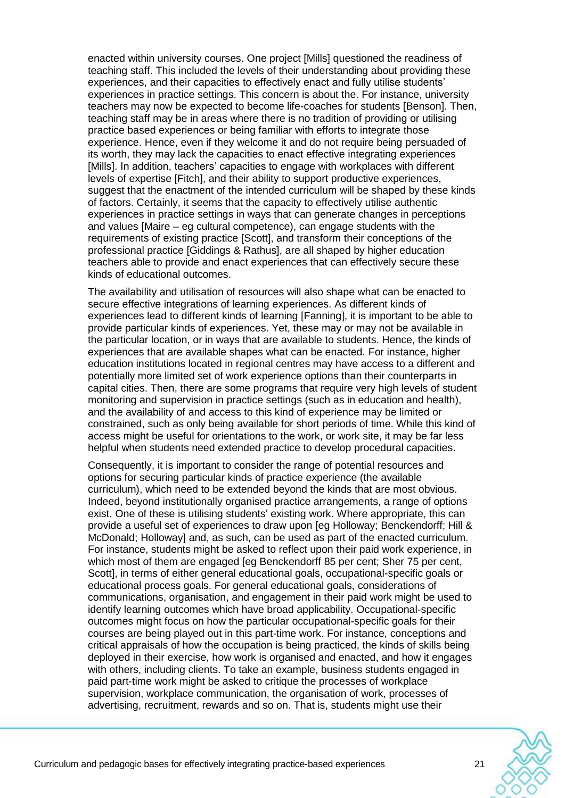enacted within university courses. One project [Mills] questioned the readiness of teaching staff. This included the levels of their understanding about providing these experiences, and their capacities to effectively enact and fully utilise students" experiences in practice settings. This concern is about the. For instance, university teachers may now be expected to become life-coaches for students [Benson]. Then, teaching staff may be in areas where there is no tradition of providing or utilising practice based experiences or being familiar with efforts to integrate those experience. Hence, even if they welcome it and do not require being persuaded of its worth, they may lack the capacities to enact effective integrating experiences [Mills]. In addition, teachers" capacities to engage with workplaces with different levels of expertise [Fitch], and their ability to support productive experiences, suggest that the enactment of the intended curriculum will be shaped by these kinds of factors. Certainly, it seems that the capacity to effectively utilise authentic experiences in practice settings in ways that can generate changes in perceptions and values [Maire – eg cultural competence), can engage students with the requirements of existing practice [Scott], and transform their conceptions of the professional practice [Giddings & Rathus], are all shaped by higher education teachers able to provide and enact experiences that can effectively secure these kinds of educational outcomes.

The availability and utilisation of resources will also shape what can be enacted to secure effective integrations of learning experiences. As different kinds of experiences lead to different kinds of learning [Fanning], it is important to be able to provide particular kinds of experiences. Yet, these may or may not be available in the particular location, or in ways that are available to students. Hence, the kinds of experiences that are available shapes what can be enacted. For instance, higher education institutions located in regional centres may have access to a different and potentially more limited set of work experience options than their counterparts in capital cities. Then, there are some programs that require very high levels of student monitoring and supervision in practice settings (such as in education and health), and the availability of and access to this kind of experience may be limited or constrained, such as only being available for short periods of time. While this kind of access might be useful for orientations to the work, or work site, it may be far less helpful when students need extended practice to develop procedural capacities.

Consequently, it is important to consider the range of potential resources and options for securing particular kinds of practice experience (the available curriculum), which need to be extended beyond the kinds that are most obvious. Indeed, beyond institutionally organised practice arrangements, a range of options exist. One of these is utilising students" existing work. Where appropriate, this can provide a useful set of experiences to draw upon [eg Holloway; Benckendorff; Hill & McDonald; Holloway] and, as such, can be used as part of the enacted curriculum. For instance, students might be asked to reflect upon their paid work experience, in which most of them are engaged [eg Benckendorff 85 per cent; Sher 75 per cent, Scott], in terms of either general educational goals, occupational-specific goals or educational process goals. For general educational goals, considerations of communications, organisation, and engagement in their paid work might be used to identify learning outcomes which have broad applicability. Occupational-specific outcomes might focus on how the particular occupational-specific goals for their courses are being played out in this part-time work. For instance, conceptions and critical appraisals of how the occupation is being practiced, the kinds of skills being deployed in their exercise, how work is organised and enacted, and how it engages with others, including clients. To take an example, business students engaged in paid part-time work might be asked to critique the processes of workplace supervision, workplace communication, the organisation of work, processes of advertising, recruitment, rewards and so on. That is, students might use their

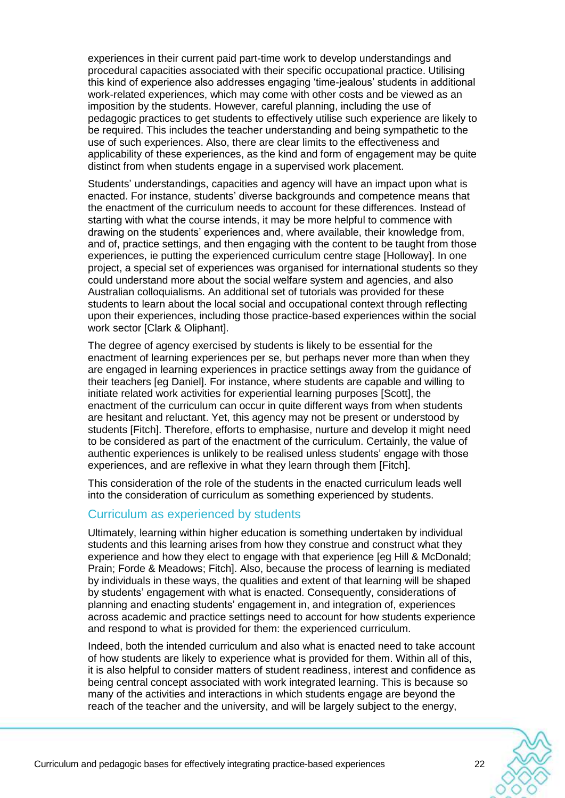experiences in their current paid part-time work to develop understandings and procedural capacities associated with their specific occupational practice. Utilising this kind of experience also addresses engaging "time-jealous" students in additional work-related experiences, which may come with other costs and be viewed as an imposition by the students. However, careful planning, including the use of pedagogic practices to get students to effectively utilise such experience are likely to be required. This includes the teacher understanding and being sympathetic to the use of such experiences. Also, there are clear limits to the effectiveness and applicability of these experiences, as the kind and form of engagement may be quite distinct from when students engage in a supervised work placement.

Students' understandings, capacities and agency will have an impact upon what is enacted. For instance, students" diverse backgrounds and competence means that the enactment of the curriculum needs to account for these differences. Instead of starting with what the course intends, it may be more helpful to commence with drawing on the students" experiences and, where available, their knowledge from, and of, practice settings, and then engaging with the content to be taught from those experiences, ie putting the experienced curriculum centre stage [Holloway]. In one project, a special set of experiences was organised for international students so they could understand more about the social welfare system and agencies, and also Australian colloquialisms. An additional set of tutorials was provided for these students to learn about the local social and occupational context through reflecting upon their experiences, including those practice-based experiences within the social work sector [Clark & Oliphant].

The degree of agency exercised by students is likely to be essential for the enactment of learning experiences per se, but perhaps never more than when they are engaged in learning experiences in practice settings away from the guidance of their teachers [eg Daniel]. For instance, where students are capable and willing to initiate related work activities for experiential learning purposes [Scott], the enactment of the curriculum can occur in quite different ways from when students are hesitant and reluctant. Yet, this agency may not be present or understood by students [Fitch]. Therefore, efforts to emphasise, nurture and develop it might need to be considered as part of the enactment of the curriculum. Certainly, the value of authentic experiences is unlikely to be realised unless students" engage with those experiences, and are reflexive in what they learn through them [Fitch].

This consideration of the role of the students in the enacted curriculum leads well into the consideration of curriculum as something experienced by students.

## <span id="page-24-0"></span>Curriculum as experienced by students

Ultimately, learning within higher education is something undertaken by individual students and this learning arises from how they construe and construct what they experience and how they elect to engage with that experience [eg Hill & McDonald; Prain; Forde & Meadows; Fitch]. Also, because the process of learning is mediated by individuals in these ways, the qualities and extent of that learning will be shaped by students" engagement with what is enacted. Consequently, considerations of planning and enacting students" engagement in, and integration of, experiences across academic and practice settings need to account for how students experience and respond to what is provided for them: the experienced curriculum.

Indeed, both the intended curriculum and also what is enacted need to take account of how students are likely to experience what is provided for them. Within all of this, it is also helpful to consider matters of student readiness, interest and confidence as being central concept associated with work integrated learning. This is because so many of the activities and interactions in which students engage are beyond the reach of the teacher and the university, and will be largely subject to the energy,

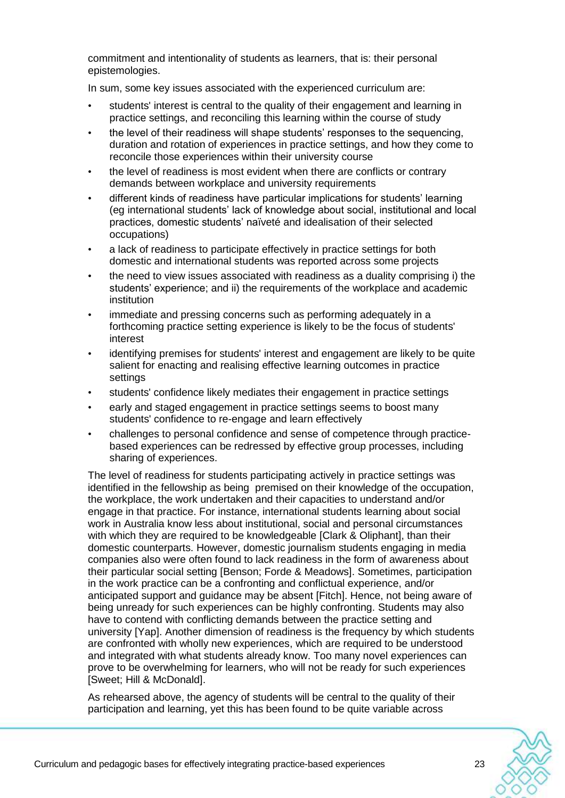commitment and intentionality of students as learners, that is: their personal epistemologies.

In sum, some key issues associated with the experienced curriculum are:

- students' interest is central to the quality of their engagement and learning in practice settings, and reconciling this learning within the course of study
- the level of their readiness will shape students' responses to the sequencing, duration and rotation of experiences in practice settings, and how they come to reconcile those experiences within their university course
- the level of readiness is most evident when there are conflicts or contrary demands between workplace and university requirements
- different kinds of readiness have particular implications for students' learning (eg international students" lack of knowledge about social, institutional and local practices, domestic students" naïveté and idealisation of their selected occupations)
- a lack of readiness to participate effectively in practice settings for both domestic and international students was reported across some projects
- the need to view issues associated with readiness as a duality comprising i) the students' experience; and ii) the requirements of the workplace and academic institution
- immediate and pressing concerns such as performing adequately in a forthcoming practice setting experience is likely to be the focus of students' interest
- identifying premises for students' interest and engagement are likely to be quite salient for enacting and realising effective learning outcomes in practice settings
- students' confidence likely mediates their engagement in practice settings
- early and staged engagement in practice settings seems to boost many students' confidence to re-engage and learn effectively
- challenges to personal confidence and sense of competence through practicebased experiences can be redressed by effective group processes, including sharing of experiences.

The level of readiness for students participating actively in practice settings was identified in the fellowship as being premised on their knowledge of the occupation, the workplace, the work undertaken and their capacities to understand and/or engage in that practice. For instance, international students learning about social work in Australia know less about institutional, social and personal circumstances with which they are required to be knowledgeable [Clark & Oliphant], than their domestic counterparts. However, domestic journalism students engaging in media companies also were often found to lack readiness in the form of awareness about their particular social setting [Benson; Forde & Meadows]. Sometimes, participation in the work practice can be a confronting and conflictual experience, and/or anticipated support and guidance may be absent [Fitch]. Hence, not being aware of being unready for such experiences can be highly confronting. Students may also have to contend with conflicting demands between the practice setting and university [Yap]. Another dimension of readiness is the frequency by which students are confronted with wholly new experiences, which are required to be understood and integrated with what students already know. Too many novel experiences can prove to be overwhelming for learners, who will not be ready for such experiences [Sweet; Hill & McDonald].

As rehearsed above, the agency of students will be central to the quality of their participation and learning, yet this has been found to be quite variable across

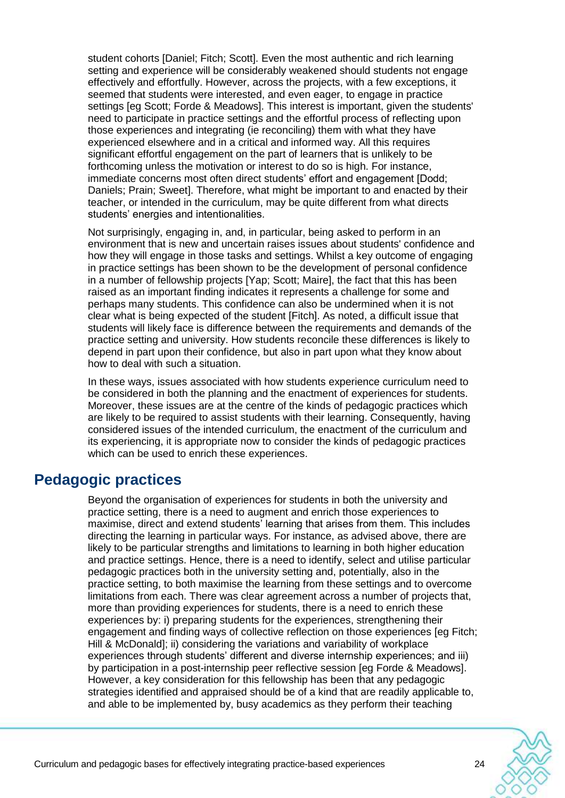student cohorts [Daniel; Fitch; Scott]. Even the most authentic and rich learning setting and experience will be considerably weakened should students not engage effectively and effortfully. However, across the projects, with a few exceptions, it seemed that students were interested, and even eager, to engage in practice settings [eg Scott; Forde & Meadows]. This interest is important, given the students' need to participate in practice settings and the effortful process of reflecting upon those experiences and integrating (ie reconciling) them with what they have experienced elsewhere and in a critical and informed way. All this requires significant effortful engagement on the part of learners that is unlikely to be forthcoming unless the motivation or interest to do so is high. For instance, immediate concerns most often direct students" effort and engagement [Dodd; Daniels; Prain; Sweet]. Therefore, what might be important to and enacted by their teacher, or intended in the curriculum, may be quite different from what directs students' energies and intentionalities.

Not surprisingly, engaging in, and, in particular, being asked to perform in an environment that is new and uncertain raises issues about students' confidence and how they will engage in those tasks and settings. Whilst a key outcome of engaging in practice settings has been shown to be the development of personal confidence in a number of fellowship projects [Yap; Scott; Maire], the fact that this has been raised as an important finding indicates it represents a challenge for some and perhaps many students. This confidence can also be undermined when it is not clear what is being expected of the student [Fitch]. As noted, a difficult issue that students will likely face is difference between the requirements and demands of the practice setting and university. How students reconcile these differences is likely to depend in part upon their confidence, but also in part upon what they know about how to deal with such a situation.

In these ways, issues associated with how students experience curriculum need to be considered in both the planning and the enactment of experiences for students. Moreover, these issues are at the centre of the kinds of pedagogic practices which are likely to be required to assist students with their learning. Consequently, having considered issues of the intended curriculum, the enactment of the curriculum and its experiencing, it is appropriate now to consider the kinds of pedagogic practices which can be used to enrich these experiences.

# <span id="page-26-0"></span>**Pedagogic practices**

Beyond the organisation of experiences for students in both the university and practice setting, there is a need to augment and enrich those experiences to maximise, direct and extend students" learning that arises from them. This includes directing the learning in particular ways. For instance, as advised above, there are likely to be particular strengths and limitations to learning in both higher education and practice settings. Hence, there is a need to identify, select and utilise particular pedagogic practices both in the university setting and, potentially, also in the practice setting, to both maximise the learning from these settings and to overcome limitations from each. There was clear agreement across a number of projects that, more than providing experiences for students, there is a need to enrich these experiences by: i) preparing students for the experiences, strengthening their engagement and finding ways of collective reflection on those experiences [eg Fitch; Hill & McDonald]; ii) considering the variations and variability of workplace experiences through students" different and diverse internship experiences; and iii) by participation in a post-internship peer reflective session [eg Forde & Meadows]. However, a key consideration for this fellowship has been that any pedagogic strategies identified and appraised should be of a kind that are readily applicable to, and able to be implemented by, busy academics as they perform their teaching

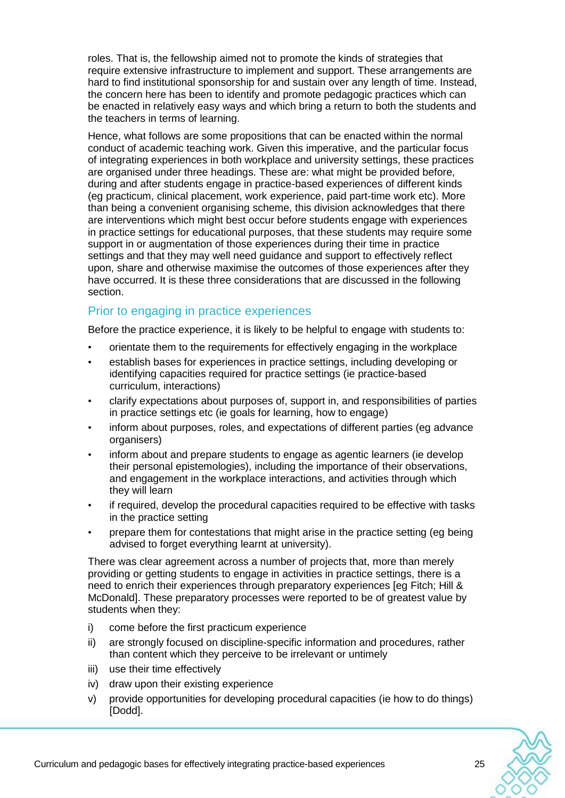roles. That is, the fellowship aimed not to promote the kinds of strategies that require extensive infrastructure to implement and support. These arrangements are hard to find institutional sponsorship for and sustain over any length of time. Instead, the concern here has been to identify and promote pedagogic practices which can be enacted in relatively easy ways and which bring a return to both the students and the teachers in terms of learning.

Hence, what follows are some propositions that can be enacted within the normal conduct of academic teaching work. Given this imperative, and the particular focus of integrating experiences in both workplace and university settings, these practices are organised under three headings. These are: what might be provided before, during and after students engage in practice-based experiences of different kinds (eg practicum, clinical placement, work experience, paid part-time work etc). More than being a convenient organising scheme, this division acknowledges that there are interventions which might best occur before students engage with experiences in practice settings for educational purposes, that these students may require some support in or augmentation of those experiences during their time in practice settings and that they may well need guidance and support to effectively reflect upon, share and otherwise maximise the outcomes of those experiences after they have occurred. It is these three considerations that are discussed in the following section.

# <span id="page-27-0"></span>Prior to engaging in practice experiences

Before the practice experience, it is likely to be helpful to engage with students to:

- orientate them to the requirements for effectively engaging in the workplace
- establish bases for experiences in practice settings, including developing or identifying capacities required for practice settings (ie practice-based curriculum, interactions)
- clarify expectations about purposes of, support in, and responsibilities of parties in practice settings etc (ie goals for learning, how to engage)
- inform about purposes, roles, and expectations of different parties (eg advance organisers)
- inform about and prepare students to engage as agentic learners (ie develop their personal epistemologies), including the importance of their observations, and engagement in the workplace interactions, and activities through which they will learn
- if required, develop the procedural capacities required to be effective with tasks in the practice setting
- prepare them for contestations that might arise in the practice setting (eg being advised to forget everything learnt at university).

There was clear agreement across a number of projects that, more than merely providing or getting students to engage in activities in practice settings, there is a need to enrich their experiences through preparatory experiences [eg Fitch; Hill & McDonald]. These preparatory processes were reported to be of greatest value by students when they:

- i) come before the first practicum experience
- ii) are strongly focused on discipline-specific information and procedures, rather than content which they perceive to be irrelevant or untimely
- iii) use their time effectively
- iv) draw upon their existing experience
- v) provide opportunities for developing procedural capacities (ie how to do things) [Dodd].

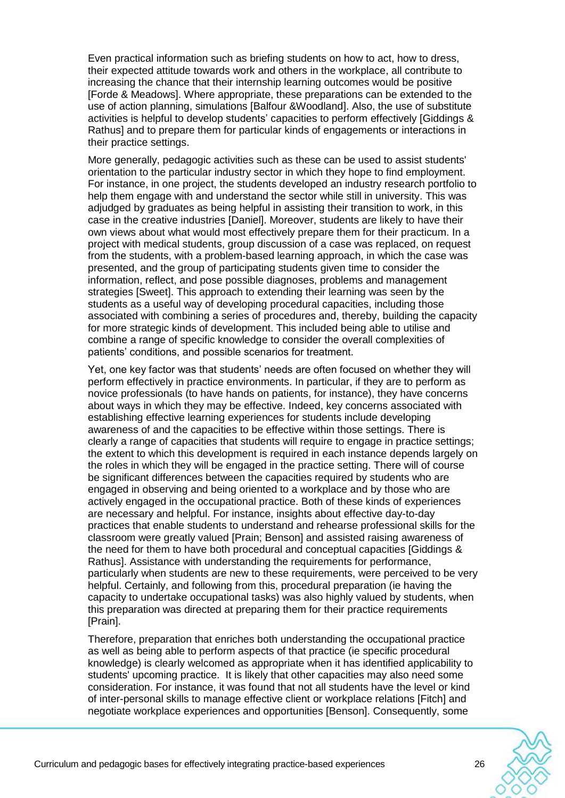Even practical information such as briefing students on how to act, how to dress, their expected attitude towards work and others in the workplace, all contribute to increasing the chance that their internship learning outcomes would be positive [Forde & Meadows]. Where appropriate, these preparations can be extended to the use of action planning, simulations [Balfour &Woodland]. Also, the use of substitute activities is helpful to develop students' capacities to perform effectively [Giddings & Rathus] and to prepare them for particular kinds of engagements or interactions in their practice settings.

More generally, pedagogic activities such as these can be used to assist students' orientation to the particular industry sector in which they hope to find employment. For instance, in one project, the students developed an industry research portfolio to help them engage with and understand the sector while still in university. This was adjudged by graduates as being helpful in assisting their transition to work, in this case in the creative industries [Daniel]. Moreover, students are likely to have their own views about what would most effectively prepare them for their practicum. In a project with medical students, group discussion of a case was replaced, on request from the students, with a problem-based learning approach, in which the case was presented, and the group of participating students given time to consider the information, reflect, and pose possible diagnoses, problems and management strategies [Sweet]. This approach to extending their learning was seen by the students as a useful way of developing procedural capacities, including those associated with combining a series of procedures and, thereby, building the capacity for more strategic kinds of development. This included being able to utilise and combine a range of specific knowledge to consider the overall complexities of patients" conditions, and possible scenarios for treatment.

Yet, one key factor was that students" needs are often focused on whether they will perform effectively in practice environments. In particular, if they are to perform as novice professionals (to have hands on patients, for instance), they have concerns about ways in which they may be effective. Indeed, key concerns associated with establishing effective learning experiences for students include developing awareness of and the capacities to be effective within those settings. There is clearly a range of capacities that students will require to engage in practice settings; the extent to which this development is required in each instance depends largely on the roles in which they will be engaged in the practice setting. There will of course be significant differences between the capacities required by students who are engaged in observing and being oriented to a workplace and by those who are actively engaged in the occupational practice. Both of these kinds of experiences are necessary and helpful. For instance, insights about effective day-to-day practices that enable students to understand and rehearse professional skills for the classroom were greatly valued [Prain; Benson] and assisted raising awareness of the need for them to have both procedural and conceptual capacities [Giddings & Rathus]. Assistance with understanding the requirements for performance, particularly when students are new to these requirements, were perceived to be very helpful. Certainly, and following from this, procedural preparation (ie having the capacity to undertake occupational tasks) was also highly valued by students, when this preparation was directed at preparing them for their practice requirements [Prain].

Therefore, preparation that enriches both understanding the occupational practice as well as being able to perform aspects of that practice (ie specific procedural knowledge) is clearly welcomed as appropriate when it has identified applicability to students' upcoming practice. It is likely that other capacities may also need some consideration. For instance, it was found that not all students have the level or kind of inter-personal skills to manage effective client or workplace relations [Fitch] and negotiate workplace experiences and opportunities [Benson]. Consequently, some

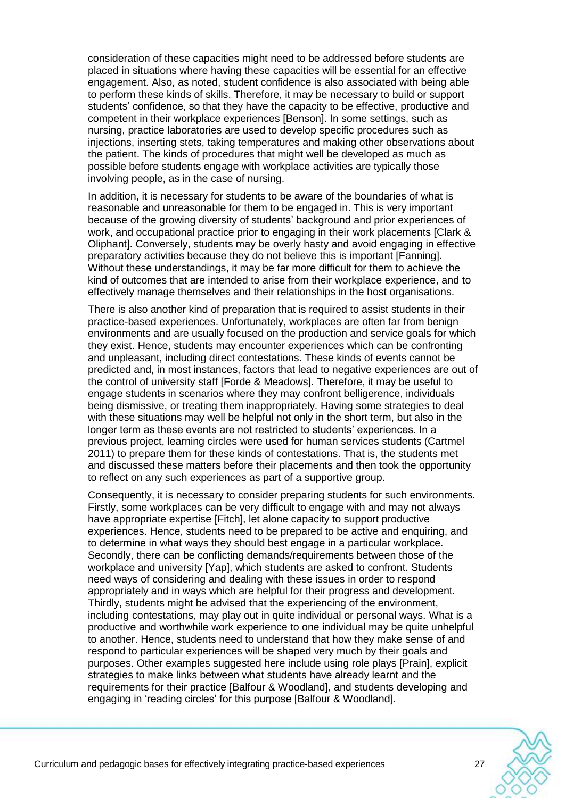consideration of these capacities might need to be addressed before students are placed in situations where having these capacities will be essential for an effective engagement. Also, as noted, student confidence is also associated with being able to perform these kinds of skills. Therefore, it may be necessary to build or support students" confidence, so that they have the capacity to be effective, productive and competent in their workplace experiences [Benson]. In some settings, such as nursing, practice laboratories are used to develop specific procedures such as injections, inserting stets, taking temperatures and making other observations about the patient. The kinds of procedures that might well be developed as much as possible before students engage with workplace activities are typically those involving people, as in the case of nursing.

In addition, it is necessary for students to be aware of the boundaries of what is reasonable and unreasonable for them to be engaged in. This is very important because of the growing diversity of students" background and prior experiences of work, and occupational practice prior to engaging in their work placements [Clark & Oliphant]. Conversely, students may be overly hasty and avoid engaging in effective preparatory activities because they do not believe this is important [Fanning]. Without these understandings, it may be far more difficult for them to achieve the kind of outcomes that are intended to arise from their workplace experience, and to effectively manage themselves and their relationships in the host organisations.

There is also another kind of preparation that is required to assist students in their practice-based experiences. Unfortunately, workplaces are often far from benign environments and are usually focused on the production and service goals for which they exist. Hence, students may encounter experiences which can be confronting and unpleasant, including direct contestations. These kinds of events cannot be predicted and, in most instances, factors that lead to negative experiences are out of the control of university staff [Forde & Meadows]. Therefore, it may be useful to engage students in scenarios where they may confront belligerence, individuals being dismissive, or treating them inappropriately. Having some strategies to deal with these situations may well be helpful not only in the short term, but also in the longer term as these events are not restricted to students' experiences. In a previous project, learning circles were used for human services students (Cartmel 2011) to prepare them for these kinds of contestations. That is, the students met and discussed these matters before their placements and then took the opportunity to reflect on any such experiences as part of a supportive group.

Consequently, it is necessary to consider preparing students for such environments. Firstly, some workplaces can be very difficult to engage with and may not always have appropriate expertise [Fitch], let alone capacity to support productive experiences. Hence, students need to be prepared to be active and enquiring, and to determine in what ways they should best engage in a particular workplace. Secondly, there can be conflicting demands/requirements between those of the workplace and university [Yap], which students are asked to confront. Students need ways of considering and dealing with these issues in order to respond appropriately and in ways which are helpful for their progress and development. Thirdly, students might be advised that the experiencing of the environment, including contestations, may play out in quite individual or personal ways. What is a productive and worthwhile work experience to one individual may be quite unhelpful to another. Hence, students need to understand that how they make sense of and respond to particular experiences will be shaped very much by their goals and purposes. Other examples suggested here include using role plays [Prain], explicit strategies to make links between what students have already learnt and the requirements for their practice [Balfour & Woodland], and students developing and engaging in "reading circles" for this purpose [Balfour & Woodland].

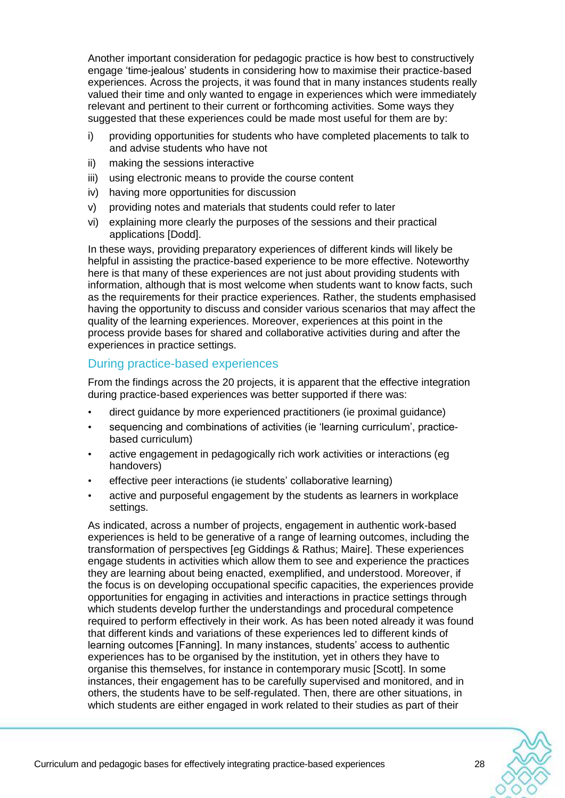Another important consideration for pedagogic practice is how best to constructively engage "time-jealous" students in considering how to maximise their practice-based experiences. Across the projects, it was found that in many instances students really valued their time and only wanted to engage in experiences which were immediately relevant and pertinent to their current or forthcoming activities. Some ways they suggested that these experiences could be made most useful for them are by:

- i) providing opportunities for students who have completed placements to talk to and advise students who have not
- ii) making the sessions interactive
- iii) using electronic means to provide the course content
- iv) having more opportunities for discussion
- v) providing notes and materials that students could refer to later
- vi) explaining more clearly the purposes of the sessions and their practical applications [Dodd].

In these ways, providing preparatory experiences of different kinds will likely be helpful in assisting the practice-based experience to be more effective. Noteworthy here is that many of these experiences are not just about providing students with information, although that is most welcome when students want to know facts, such as the requirements for their practice experiences. Rather, the students emphasised having the opportunity to discuss and consider various scenarios that may affect the quality of the learning experiences. Moreover, experiences at this point in the process provide bases for shared and collaborative activities during and after the experiences in practice settings.

## <span id="page-30-0"></span>During practice-based experiences

From the findings across the 20 projects, it is apparent that the effective integration during practice-based experiences was better supported if there was:

- direct guidance by more experienced practitioners (ie proximal guidance)
- sequencing and combinations of activities (ie 'learning curriculum', practicebased curriculum)
- active engagement in pedagogically rich work activities or interactions (eg handovers)
- effective peer interactions (ie students' collaborative learning)
- active and purposeful engagement by the students as learners in workplace settings.

As indicated, across a number of projects, engagement in authentic work-based experiences is held to be generative of a range of learning outcomes, including the transformation of perspectives [eg Giddings & Rathus; Maire]. These experiences engage students in activities which allow them to see and experience the practices they are learning about being enacted, exemplified, and understood. Moreover, if the focus is on developing occupational specific capacities, the experiences provide opportunities for engaging in activities and interactions in practice settings through which students develop further the understandings and procedural competence required to perform effectively in their work. As has been noted already it was found that different kinds and variations of these experiences led to different kinds of learning outcomes [Fanning]. In many instances, students' access to authentic experiences has to be organised by the institution, yet in others they have to organise this themselves, for instance in contemporary music [Scott]. In some instances, their engagement has to be carefully supervised and monitored, and in others, the students have to be self-regulated. Then, there are other situations, in which students are either engaged in work related to their studies as part of their

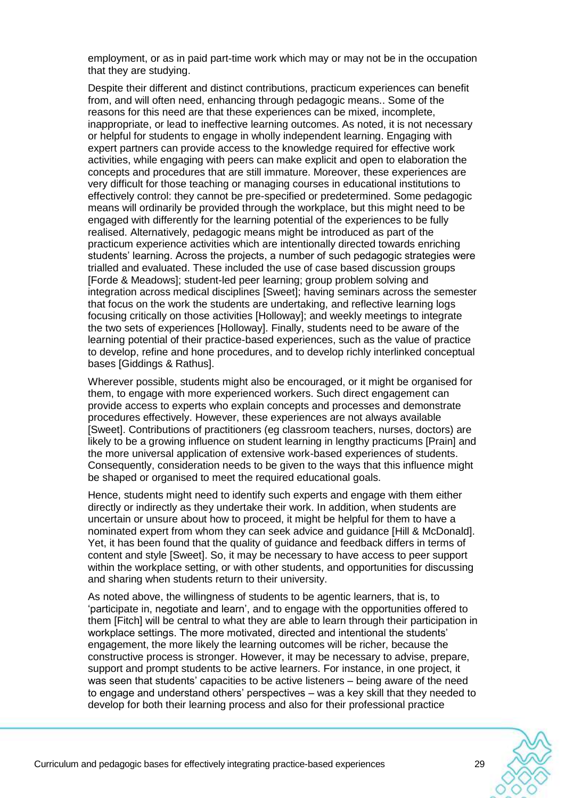employment, or as in paid part-time work which may or may not be in the occupation that they are studying.

Despite their different and distinct contributions, practicum experiences can benefit from, and will often need, enhancing through pedagogic means.. Some of the reasons for this need are that these experiences can be mixed, incomplete, inappropriate, or lead to ineffective learning outcomes. As noted, it is not necessary or helpful for students to engage in wholly independent learning. Engaging with expert partners can provide access to the knowledge required for effective work activities, while engaging with peers can make explicit and open to elaboration the concepts and procedures that are still immature. Moreover, these experiences are very difficult for those teaching or managing courses in educational institutions to effectively control: they cannot be pre-specified or predetermined. Some pedagogic means will ordinarily be provided through the workplace, but this might need to be engaged with differently for the learning potential of the experiences to be fully realised. Alternatively, pedagogic means might be introduced as part of the practicum experience activities which are intentionally directed towards enriching students" learning. Across the projects, a number of such pedagogic strategies were trialled and evaluated. These included the use of case based discussion groups [Forde & Meadows]; student-led peer learning; group problem solving and integration across medical disciplines [Sweet]; having seminars across the semester that focus on the work the students are undertaking, and reflective learning logs focusing critically on those activities [Holloway]; and weekly meetings to integrate the two sets of experiences [Holloway]. Finally, students need to be aware of the learning potential of their practice-based experiences, such as the value of practice to develop, refine and hone procedures, and to develop richly interlinked conceptual bases [Giddings & Rathus].

Wherever possible, students might also be encouraged, or it might be organised for them, to engage with more experienced workers. Such direct engagement can provide access to experts who explain concepts and processes and demonstrate procedures effectively. However, these experiences are not always available [Sweet]. Contributions of practitioners (eg classroom teachers, nurses, doctors) are likely to be a growing influence on student learning in lengthy practicums [Prain] and the more universal application of extensive work-based experiences of students. Consequently, consideration needs to be given to the ways that this influence might be shaped or organised to meet the required educational goals.

Hence, students might need to identify such experts and engage with them either directly or indirectly as they undertake their work. In addition, when students are uncertain or unsure about how to proceed, it might be helpful for them to have a nominated expert from whom they can seek advice and guidance [Hill & McDonald]. Yet, it has been found that the quality of guidance and feedback differs in terms of content and style [Sweet]. So, it may be necessary to have access to peer support within the workplace setting, or with other students, and opportunities for discussing and sharing when students return to their university.

As noted above, the willingness of students to be agentic learners, that is, to "participate in, negotiate and learn", and to engage with the opportunities offered to them [Fitch] will be central to what they are able to learn through their participation in workplace settings. The more motivated, directed and intentional the students" engagement, the more likely the learning outcomes will be richer, because the constructive process is stronger. However, it may be necessary to advise, prepare, support and prompt students to be active learners. For instance, in one project, it was seen that students' capacities to be active listeners – being aware of the need to engage and understand others" perspectives – was a key skill that they needed to develop for both their learning process and also for their professional practice

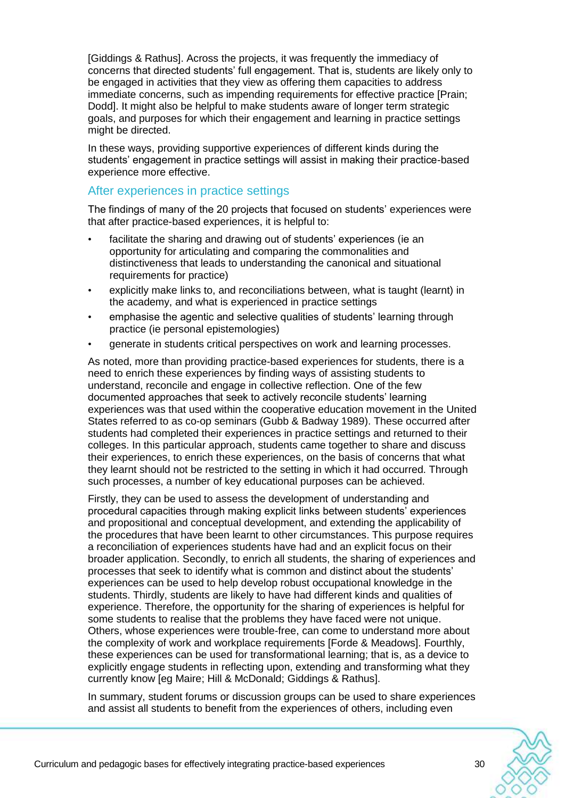[Giddings & Rathus]. Across the projects, it was frequently the immediacy of concerns that directed students" full engagement. That is, students are likely only to be engaged in activities that they view as offering them capacities to address immediate concerns, such as impending requirements for effective practice [Prain; Dodd]. It might also be helpful to make students aware of longer term strategic goals, and purposes for which their engagement and learning in practice settings might be directed.

In these ways, providing supportive experiences of different kinds during the students" engagement in practice settings will assist in making their practice-based experience more effective.

#### <span id="page-32-0"></span>After experiences in practice settings

The findings of many of the 20 projects that focused on students" experiences were that after practice-based experiences, it is helpful to:

- facilitate the sharing and drawing out of students' experiences (ie an opportunity for articulating and comparing the commonalities and distinctiveness that leads to understanding the canonical and situational requirements for practice)
- explicitly make links to, and reconciliations between, what is taught (learnt) in the academy, and what is experienced in practice settings
- emphasise the agentic and selective qualities of students" learning through practice (ie personal epistemologies)
- generate in students critical perspectives on work and learning processes.

As noted, more than providing practice-based experiences for students, there is a need to enrich these experiences by finding ways of assisting students to understand, reconcile and engage in collective reflection. One of the few documented approaches that seek to actively reconcile students" learning experiences was that used within the cooperative education movement in the United States referred to as co-op seminars (Gubb & Badway 1989). These occurred after students had completed their experiences in practice settings and returned to their colleges. In this particular approach, students came together to share and discuss their experiences, to enrich these experiences, on the basis of concerns that what they learnt should not be restricted to the setting in which it had occurred. Through such processes, a number of key educational purposes can be achieved.

Firstly, they can be used to assess the development of understanding and procedural capacities through making explicit links between students" experiences and propositional and conceptual development, and extending the applicability of the procedures that have been learnt to other circumstances. This purpose requires a reconciliation of experiences students have had and an explicit focus on their broader application. Secondly, to enrich all students, the sharing of experiences and processes that seek to identify what is common and distinct about the students" experiences can be used to help develop robust occupational knowledge in the students. Thirdly, students are likely to have had different kinds and qualities of experience. Therefore, the opportunity for the sharing of experiences is helpful for some students to realise that the problems they have faced were not unique. Others, whose experiences were trouble-free, can come to understand more about the complexity of work and workplace requirements [Forde & Meadows]. Fourthly, these experiences can be used for transformational learning; that is, as a device to explicitly engage students in reflecting upon, extending and transforming what they currently know [eg Maire; Hill & McDonald; Giddings & Rathus].

In summary, student forums or discussion groups can be used to share experiences and assist all students to benefit from the experiences of others, including even

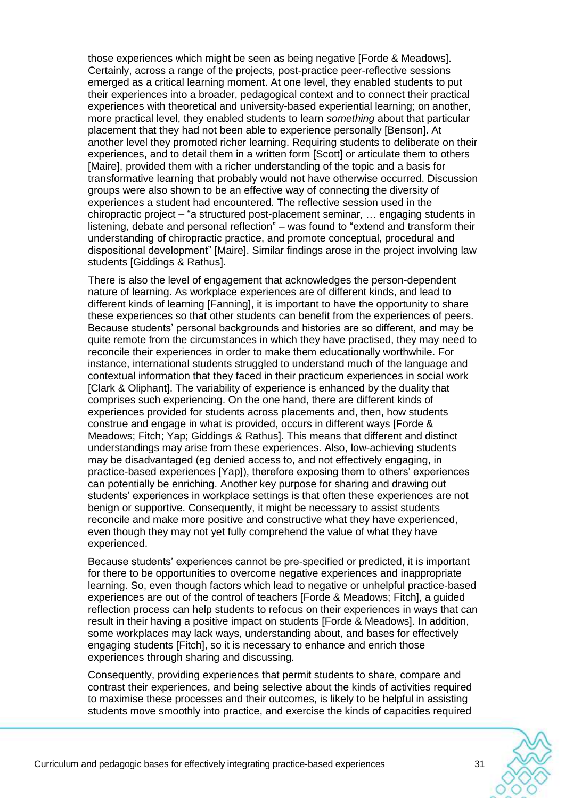those experiences which might be seen as being negative [Forde & Meadows]. Certainly, across a range of the projects, post-practice peer-reflective sessions emerged as a critical learning moment. At one level, they enabled students to put their experiences into a broader, pedagogical context and to connect their practical experiences with theoretical and university-based experiential learning; on another, more practical level, they enabled students to learn *something* about that particular placement that they had not been able to experience personally [Benson]. At another level they promoted richer learning. Requiring students to deliberate on their experiences, and to detail them in a written form [Scott] or articulate them to others [Maire], provided them with a richer understanding of the topic and a basis for transformative learning that probably would not have otherwise occurred. Discussion groups were also shown to be an effective way of connecting the diversity of experiences a student had encountered. The reflective session used in the chiropractic project – "a structured post-placement seminar, … engaging students in listening, debate and personal reflection" – was found to "extend and transform their understanding of chiropractic practice, and promote conceptual, procedural and dispositional development" [Maire]. Similar findings arose in the project involving law students [Giddings & Rathus].

There is also the level of engagement that acknowledges the person-dependent nature of learning. As workplace experiences are of different kinds, and lead to different kinds of learning [Fanning], it is important to have the opportunity to share these experiences so that other students can benefit from the experiences of peers. Because students" personal backgrounds and histories are so different, and may be quite remote from the circumstances in which they have practised, they may need to reconcile their experiences in order to make them educationally worthwhile. For instance, international students struggled to understand much of the language and contextual information that they faced in their practicum experiences in social work [Clark & Oliphant]. The variability of experience is enhanced by the duality that comprises such experiencing. On the one hand, there are different kinds of experiences provided for students across placements and, then, how students construe and engage in what is provided, occurs in different ways [Forde & Meadows; Fitch; Yap; Giddings & Rathus]. This means that different and distinct understandings may arise from these experiences. Also, low-achieving students may be disadvantaged (eg denied access to, and not effectively engaging, in practice-based experiences [Yap]), therefore exposing them to others" experiences can potentially be enriching. Another key purpose for sharing and drawing out students" experiences in workplace settings is that often these experiences are not benign or supportive. Consequently, it might be necessary to assist students reconcile and make more positive and constructive what they have experienced, even though they may not yet fully comprehend the value of what they have experienced.

Because students" experiences cannot be pre-specified or predicted, it is important for there to be opportunities to overcome negative experiences and inappropriate learning. So, even though factors which lead to negative or unhelpful practice-based experiences are out of the control of teachers [Forde & Meadows; Fitch], a guided reflection process can help students to refocus on their experiences in ways that can result in their having a positive impact on students [Forde & Meadows]. In addition, some workplaces may lack ways, understanding about, and bases for effectively engaging students [Fitch], so it is necessary to enhance and enrich those experiences through sharing and discussing.

Consequently, providing experiences that permit students to share, compare and contrast their experiences, and being selective about the kinds of activities required to maximise these processes and their outcomes, is likely to be helpful in assisting students move smoothly into practice, and exercise the kinds of capacities required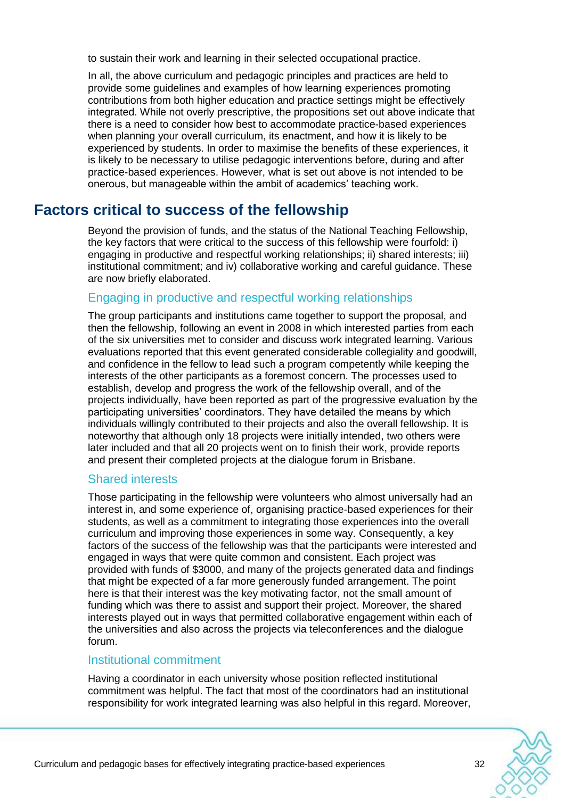to sustain their work and learning in their selected occupational practice.

In all, the above curriculum and pedagogic principles and practices are held to provide some guidelines and examples of how learning experiences promoting contributions from both higher education and practice settings might be effectively integrated. While not overly prescriptive, the propositions set out above indicate that there is a need to consider how best to accommodate practice-based experiences when planning your overall curriculum, its enactment, and how it is likely to be experienced by students. In order to maximise the benefits of these experiences, it is likely to be necessary to utilise pedagogic interventions before, during and after practice-based experiences. However, what is set out above is not intended to be onerous, but manageable within the ambit of academics" teaching work.

# <span id="page-34-0"></span>**Factors critical to success of the fellowship**

Beyond the provision of funds, and the status of the National Teaching Fellowship, the key factors that were critical to the success of this fellowship were fourfold: i) engaging in productive and respectful working relationships; ii) shared interests; iii) institutional commitment; and iv) collaborative working and careful guidance. These are now briefly elaborated.

## <span id="page-34-1"></span>Engaging in productive and respectful working relationships

The group participants and institutions came together to support the proposal, and then the fellowship, following an event in 2008 in which interested parties from each of the six universities met to consider and discuss work integrated learning. Various evaluations reported that this event generated considerable collegiality and goodwill, and confidence in the fellow to lead such a program competently while keeping the interests of the other participants as a foremost concern. The processes used to establish, develop and progress the work of the fellowship overall, and of the projects individually, have been reported as part of the progressive evaluation by the participating universities" coordinators. They have detailed the means by which individuals willingly contributed to their projects and also the overall fellowship. It is noteworthy that although only 18 projects were initially intended, two others were later included and that all 20 projects went on to finish their work, provide reports and present their completed projects at the dialogue forum in Brisbane.

#### <span id="page-34-2"></span>Shared interests

Those participating in the fellowship were volunteers who almost universally had an interest in, and some experience of, organising practice-based experiences for their students, as well as a commitment to integrating those experiences into the overall curriculum and improving those experiences in some way. Consequently, a key factors of the success of the fellowship was that the participants were interested and engaged in ways that were quite common and consistent. Each project was provided with funds of \$3000, and many of the projects generated data and findings that might be expected of a far more generously funded arrangement. The point here is that their interest was the key motivating factor, not the small amount of funding which was there to assist and support their project. Moreover, the shared interests played out in ways that permitted collaborative engagement within each of the universities and also across the projects via teleconferences and the dialogue forum.

### <span id="page-34-3"></span>Institutional commitment

Having a coordinator in each university whose position reflected institutional commitment was helpful. The fact that most of the coordinators had an institutional responsibility for work integrated learning was also helpful in this regard. Moreover,

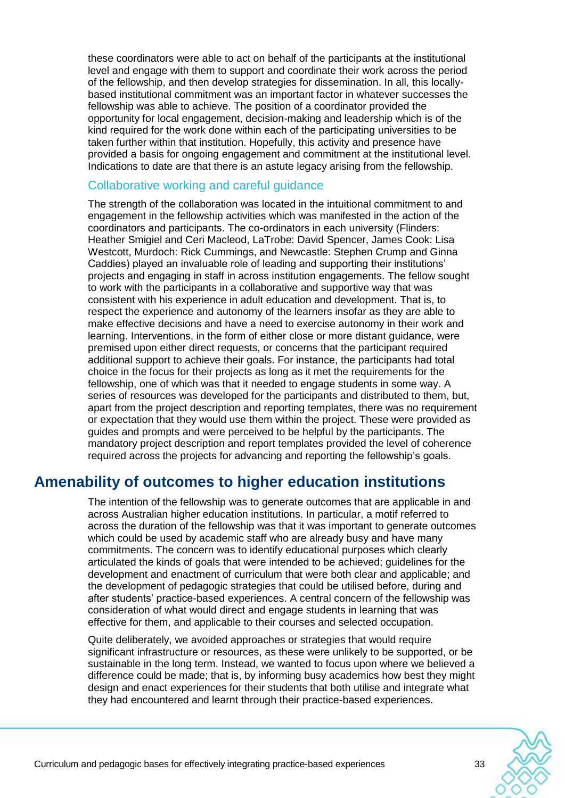these coordinators were able to act on behalf of the participants at the institutional level and engage with them to support and coordinate their work across the period of the fellowship, and then develop strategies for dissemination. In all, this locallybased institutional commitment was an important factor in whatever successes the fellowship was able to achieve. The position of a coordinator provided the opportunity for local engagement, decision-making and leadership which is of the kind required for the work done within each of the participating universities to be taken further within that institution. Hopefully, this activity and presence have provided a basis for ongoing engagement and commitment at the institutional level. Indications to date are that there is an astute legacy arising from the fellowship.

## <span id="page-35-0"></span>Collaborative working and careful guidance

The strength of the collaboration was located in the intuitional commitment to and engagement in the fellowship activities which was manifested in the action of the coordinators and participants. The co-ordinators in each university (Flinders: Heather Smigiel and Ceri Macleod, LaTrobe: David Spencer, James Cook: Lisa Westcott, Murdoch: Rick Cummings, and Newcastle: Stephen Crump and Ginna Caddies) played an invaluable role of leading and supporting their institutions" projects and engaging in staff in across institution engagements. The fellow sought to work with the participants in a collaborative and supportive way that was consistent with his experience in adult education and development. That is, to respect the experience and autonomy of the learners insofar as they are able to make effective decisions and have a need to exercise autonomy in their work and learning. Interventions, in the form of either close or more distant guidance, were premised upon either direct requests, or concerns that the participant required additional support to achieve their goals. For instance, the participants had total choice in the focus for their projects as long as it met the requirements for the fellowship, one of which was that it needed to engage students in some way. A series of resources was developed for the participants and distributed to them, but, apart from the project description and reporting templates, there was no requirement or expectation that they would use them within the project. These were provided as guides and prompts and were perceived to be helpful by the participants. The mandatory project description and report templates provided the level of coherence required across the projects for advancing and reporting the fellowship"s goals.

# <span id="page-35-1"></span>**Amenability of outcomes to higher education institutions**

The intention of the fellowship was to generate outcomes that are applicable in and across Australian higher education institutions. In particular, a motif referred to across the duration of the fellowship was that it was important to generate outcomes which could be used by academic staff who are already busy and have many commitments. The concern was to identify educational purposes which clearly articulated the kinds of goals that were intended to be achieved; guidelines for the development and enactment of curriculum that were both clear and applicable; and the development of pedagogic strategies that could be utilised before, during and after students" practice-based experiences. A central concern of the fellowship was consideration of what would direct and engage students in learning that was effective for them, and applicable to their courses and selected occupation.

Quite deliberately, we avoided approaches or strategies that would require significant infrastructure or resources, as these were unlikely to be supported, or be sustainable in the long term. Instead, we wanted to focus upon where we believed a difference could be made; that is, by informing busy academics how best they might design and enact experiences for their students that both utilise and integrate what they had encountered and learnt through their practice-based experiences.

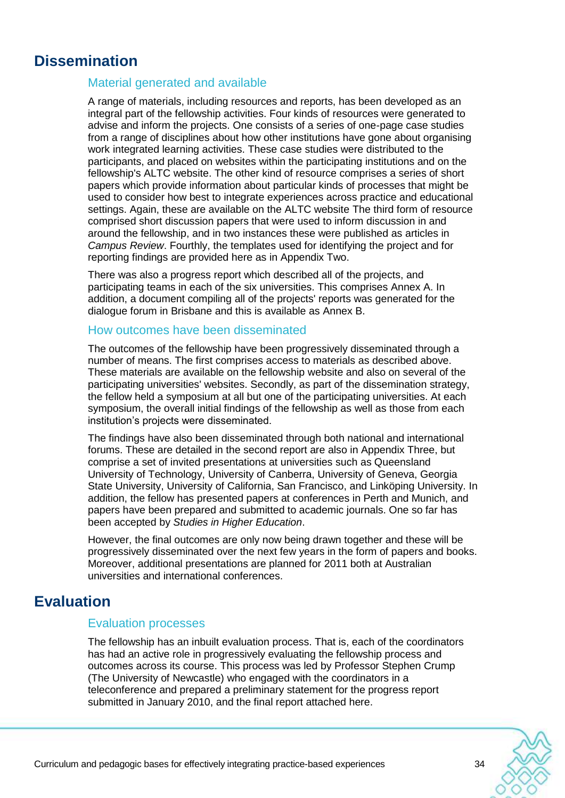# <span id="page-36-1"></span><span id="page-36-0"></span>**Dissemination**

## Material generated and available

A range of materials, including resources and reports, has been developed as an integral part of the fellowship activities. Four kinds of resources were generated to advise and inform the projects. One consists of a series of one-page case studies from a range of disciplines about how other institutions have gone about organising work integrated learning activities. These case studies were distributed to the participants, and placed on websites within the participating institutions and on the fellowship's ALTC website. The other kind of resource comprises a series of short papers which provide information about particular kinds of processes that might be used to consider how best to integrate experiences across practice and educational settings. Again, these are available on the ALTC website The third form of resource comprised short discussion papers that were used to inform discussion in and around the fellowship, and in two instances these were published as articles in *Campus Review*. Fourthly, the templates used for identifying the project and for reporting findings are provided here as in Appendix Two.

There was also a progress report which described all of the projects, and participating teams in each of the six universities. This comprises Annex A. In addition, a document compiling all of the projects' reports was generated for the dialogue forum in Brisbane and this is available as Annex B.

#### <span id="page-36-2"></span>How outcomes have been disseminated

The outcomes of the fellowship have been progressively disseminated through a number of means. The first comprises access to materials as described above. These materials are available on the fellowship website and also on several of the participating universities' websites. Secondly, as part of the dissemination strategy, the fellow held a symposium at all but one of the participating universities. At each symposium, the overall initial findings of the fellowship as well as those from each institution"s projects were disseminated.

The findings have also been disseminated through both national and international forums. These are detailed in the second report are also in Appendix Three, but comprise a set of invited presentations at universities such as Queensland University of Technology, University of Canberra, University of Geneva, Georgia State University, University of California, San Francisco, and Linköping University. In addition, the fellow has presented papers at conferences in Perth and Munich, and papers have been prepared and submitted to academic journals. One so far has been accepted by *Studies in Higher Education*.

However, the final outcomes are only now being drawn together and these will be progressively disseminated over the next few years in the form of papers and books. Moreover, additional presentations are planned for 2011 both at Australian universities and international conferences.

# <span id="page-36-4"></span><span id="page-36-3"></span>**Evaluation**

## Evaluation processes

The fellowship has an inbuilt evaluation process. That is, each of the coordinators has had an active role in progressively evaluating the fellowship process and outcomes across its course. This process was led by Professor Stephen Crump (The University of Newcastle) who engaged with the coordinators in a teleconference and prepared a preliminary statement for the progress report submitted in January 2010, and the final report attached here.

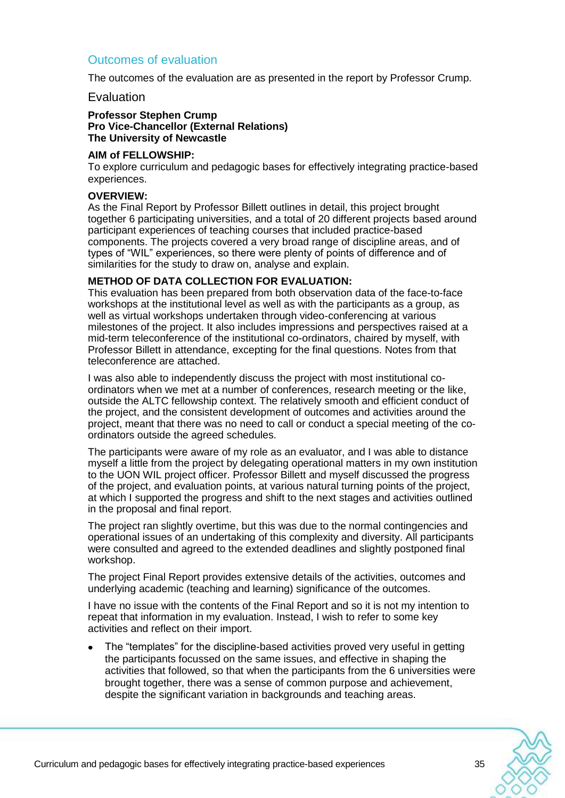## <span id="page-37-0"></span>Outcomes of evaluation

The outcomes of the evaluation are as presented in the report by Professor Crump.

#### Evaluation

**Professor Stephen Crump Pro Vice-Chancellor (External Relations) The University of Newcastle**

#### **AIM of FELLOWSHIP:**

To explore curriculum and pedagogic bases for effectively integrating practice-based experiences.

#### **OVERVIEW:**

As the Final Report by Professor Billett outlines in detail, this project brought together 6 participating universities, and a total of 20 different projects based around participant experiences of teaching courses that included practice-based components. The projects covered a very broad range of discipline areas, and of types of "WIL" experiences, so there were plenty of points of difference and of similarities for the study to draw on, analyse and explain.

#### **METHOD OF DATA COLLECTION FOR EVALUATION:**

This evaluation has been prepared from both observation data of the face-to-face workshops at the institutional level as well as with the participants as a group, as well as virtual workshops undertaken through video-conferencing at various milestones of the project. It also includes impressions and perspectives raised at a mid-term teleconference of the institutional co-ordinators, chaired by myself, with Professor Billett in attendance, excepting for the final questions. Notes from that teleconference are attached.

I was also able to independently discuss the project with most institutional coordinators when we met at a number of conferences, research meeting or the like, outside the ALTC fellowship context. The relatively smooth and efficient conduct of the project, and the consistent development of outcomes and activities around the project, meant that there was no need to call or conduct a special meeting of the coordinators outside the agreed schedules.

The participants were aware of my role as an evaluator, and I was able to distance myself a little from the project by delegating operational matters in my own institution to the UON WIL project officer. Professor Billett and myself discussed the progress of the project, and evaluation points, at various natural turning points of the project, at which I supported the progress and shift to the next stages and activities outlined in the proposal and final report.

The project ran slightly overtime, but this was due to the normal contingencies and operational issues of an undertaking of this complexity and diversity. All participants were consulted and agreed to the extended deadlines and slightly postponed final workshop.

The project Final Report provides extensive details of the activities, outcomes and underlying academic (teaching and learning) significance of the outcomes.

I have no issue with the contents of the Final Report and so it is not my intention to repeat that information in my evaluation. Instead, I wish to refer to some key activities and reflect on their import.

The "templates" for the discipline-based activities proved very useful in getting the participants focussed on the same issues, and effective in shaping the activities that followed, so that when the participants from the 6 universities were brought together, there was a sense of common purpose and achievement, despite the significant variation in backgrounds and teaching areas.

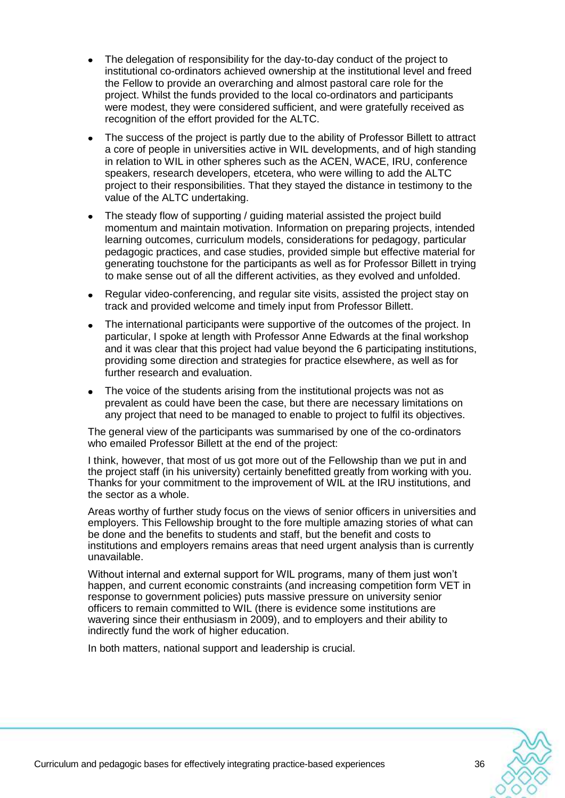- The delegation of responsibility for the day-to-day conduct of the project to institutional co-ordinators achieved ownership at the institutional level and freed the Fellow to provide an overarching and almost pastoral care role for the project. Whilst the funds provided to the local co-ordinators and participants were modest, they were considered sufficient, and were gratefully received as recognition of the effort provided for the ALTC.
- The success of the project is partly due to the ability of Professor Billett to attract a core of people in universities active in WIL developments, and of high standing in relation to WIL in other spheres such as the ACEN, WACE, IRU, conference speakers, research developers, etcetera, who were willing to add the ALTC project to their responsibilities. That they stayed the distance in testimony to the value of the ALTC undertaking.
- The steady flow of supporting / guiding material assisted the project build momentum and maintain motivation. Information on preparing projects, intended learning outcomes, curriculum models, considerations for pedagogy, particular pedagogic practices, and case studies, provided simple but effective material for generating touchstone for the participants as well as for Professor Billett in trying to make sense out of all the different activities, as they evolved and unfolded.
- Regular video-conferencing, and regular site visits, assisted the project stay on track and provided welcome and timely input from Professor Billett.
- The international participants were supportive of the outcomes of the project. In particular, I spoke at length with Professor Anne Edwards at the final workshop and it was clear that this project had value beyond the 6 participating institutions, providing some direction and strategies for practice elsewhere, as well as for further research and evaluation.
- The voice of the students arising from the institutional projects was not as prevalent as could have been the case, but there are necessary limitations on any project that need to be managed to enable to project to fulfil its objectives.

The general view of the participants was summarised by one of the co-ordinators who emailed Professor Billett at the end of the project:

I think, however, that most of us got more out of the Fellowship than we put in and the project staff (in his university) certainly benefitted greatly from working with you. Thanks for your commitment to the improvement of WIL at the IRU institutions, and the sector as a whole.

Areas worthy of further study focus on the views of senior officers in universities and employers. This Fellowship brought to the fore multiple amazing stories of what can be done and the benefits to students and staff, but the benefit and costs to institutions and employers remains areas that need urgent analysis than is currently unavailable.

Without internal and external support for WIL programs, many of them just won"t happen, and current economic constraints (and increasing competition form VET in response to government policies) puts massive pressure on university senior officers to remain committed to WIL (there is evidence some institutions are wavering since their enthusiasm in 2009), and to employers and their ability to indirectly fund the work of higher education.

In both matters, national support and leadership is crucial.

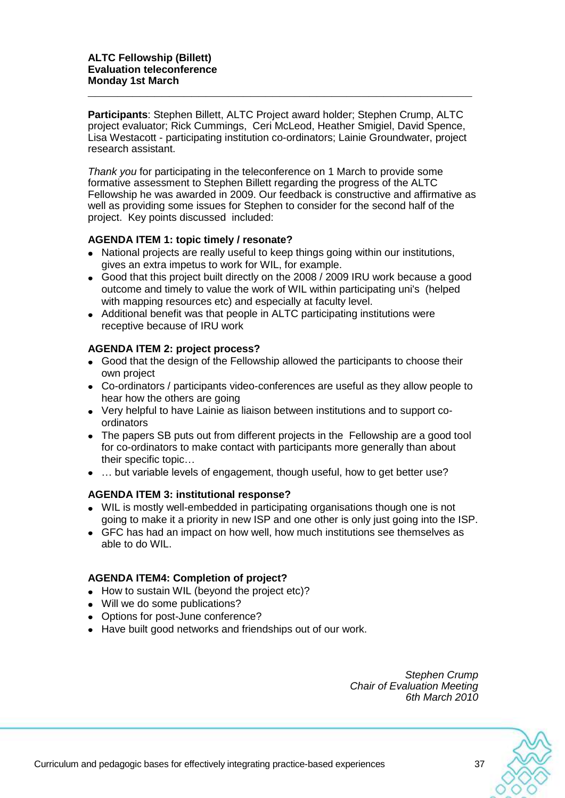**Participants**: Stephen Billett, ALTC Project award holder; Stephen Crump, ALTC project evaluator; Rick Cummings, Ceri McLeod, Heather Smigiel, David Spence, Lisa Westacott - participating institution co-ordinators; Lainie Groundwater, project research assistant.

*Thank you* for participating in the teleconference on 1 March to provide some formative assessment to Stephen Billett regarding the progress of the ALTC Fellowship he was awarded in 2009. Our feedback is constructive and affirmative as well as providing some issues for Stephen to consider for the second half of the project. Key points discussed included:

#### **AGENDA ITEM 1: topic timely / resonate?**

- National projects are really useful to keep things going within our institutions, gives an extra impetus to work for WIL, for example.
- Good that this project built directly on the 2008 / 2009 IRU work because a good outcome and timely to value the work of WIL within participating uni's (helped with mapping resources etc) and especially at faculty level.
- Additional benefit was that people in ALTC participating institutions were receptive because of IRU work

### **AGENDA ITEM 2: project process?**

- Good that the design of the Fellowship allowed the participants to choose their own project
- Co-ordinators / participants video-conferences are useful as they allow people to hear how the others are going
- Very helpful to have Lainie as liaison between institutions and to support coordinators
- The papers SB puts out from different projects in the Fellowship are a good tool for co-ordinators to make contact with participants more generally than about their specific topic…
- ... but variable levels of engagement, though useful, how to get better use?

#### **AGENDA ITEM 3: institutional response?**

- WIL is mostly well-embedded in participating organisations though one is not going to make it a priority in new ISP and one other is only just going into the ISP.
- GFC has had an impact on how well, how much institutions see themselves as able to do WIL.

## **AGENDA ITEM4: Completion of project?**

- How to sustain WIL (beyond the project etc)?
- Will we do some publications?
- Options for post-June conference?
- Have built good networks and friendships out of our work.

*Stephen Crump Chair of Evaluation Meeting 6th March 2010*

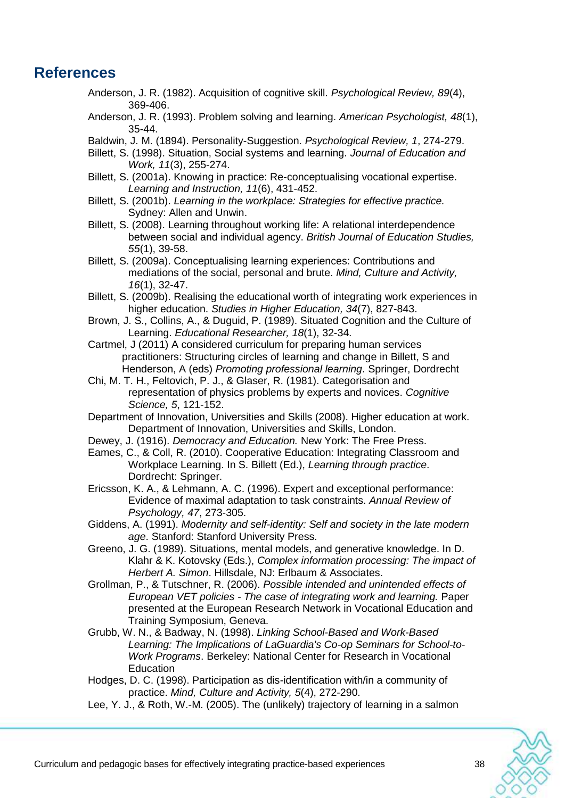# <span id="page-40-0"></span>**References**

- Anderson, J. R. (1982). Acquisition of cognitive skill. *Psychological Review, 89*(4), 369-406.
- Anderson, J. R. (1993). Problem solving and learning. *American Psychologist, 48*(1), 35-44.
- Baldwin, J. M. (1894). Personality-Suggestion. *Psychological Review, 1*, 274-279.
- Billett, S. (1998). Situation, Social systems and learning. *Journal of Education and Work, 11*(3), 255-274.
- Billett, S. (2001a). Knowing in practice: Re-conceptualising vocational expertise. *Learning and Instruction, 11*(6), 431-452.
- Billett, S. (2001b). *Learning in the workplace: Strategies for effective practice.* Sydney: Allen and Unwin.
- Billett, S. (2008). Learning throughout working life: A relational interdependence between social and individual agency. *British Journal of Education Studies, 55*(1), 39-58.
- Billett, S. (2009a). Conceptualising learning experiences: Contributions and mediations of the social, personal and brute. *Mind, Culture and Activity, 16*(1), 32-47.
- Billett, S. (2009b). Realising the educational worth of integrating work experiences in higher education. *Studies in Higher Education, 34*(7), 827-843.
- Brown, J. S., Collins, A., & Duguid, P. (1989). Situated Cognition and the Culture of Learning. *Educational Researcher, 18*(1), 32-34.
- Cartmel, J (2011) A considered curriculum for preparing human services practitioners: Structuring circles of learning and change in Billett, S and Henderson, A (eds) *Promoting professional learning*. Springer, Dordrecht
- Chi, M. T. H., Feltovich, P. J., & Glaser, R. (1981). Categorisation and representation of physics problems by experts and novices. *Cognitive Science, 5*, 121-152.
- Department of Innovation, Universities and Skills (2008). Higher education at work. Department of Innovation, Universities and Skills, London.
- Dewey, J. (1916). *Democracy and Education.* New York: The Free Press.
- Eames, C., & Coll, R. (2010). Cooperative Education: Integrating Classroom and Workplace Learning. In S. Billett (Ed.), *Learning through practice*. Dordrecht: Springer.
- Ericsson, K. A., & Lehmann, A. C. (1996). Expert and exceptional performance: Evidence of maximal adaptation to task constraints. *Annual Review of Psychology, 47*, 273-305.
- Giddens, A. (1991). *Modernity and self-identity: Self and society in the late modern age*. Stanford: Stanford University Press.
- Greeno, J. G. (1989). Situations, mental models, and generative knowledge. In D. Klahr & K. Kotovsky (Eds.), *Complex information processing: The impact of Herbert A. Simon*. Hillsdale, NJ: Erlbaum & Associates.
- Grollman, P., & Tutschner, R. (2006). *Possible intended and unintended effects of European VET policies - The case of integrating work and learning.* Paper presented at the European Research Network in Vocational Education and Training Symposium, Geneva.
- Grubb, W. N., & Badway, N. (1998). *Linking School-Based and Work-Based Learning: The Implications of LaGuardia's Co-op Seminars for School-to-Work Programs*. Berkeley: National Center for Research in Vocational Education
- Hodges, D. C. (1998). Participation as dis-identification with/in a community of practice. *Mind, Culture and Activity, 5*(4), 272-290.
- Lee, Y. J., & Roth, W.-M. (2005). The (unlikely) trajectory of learning in a salmon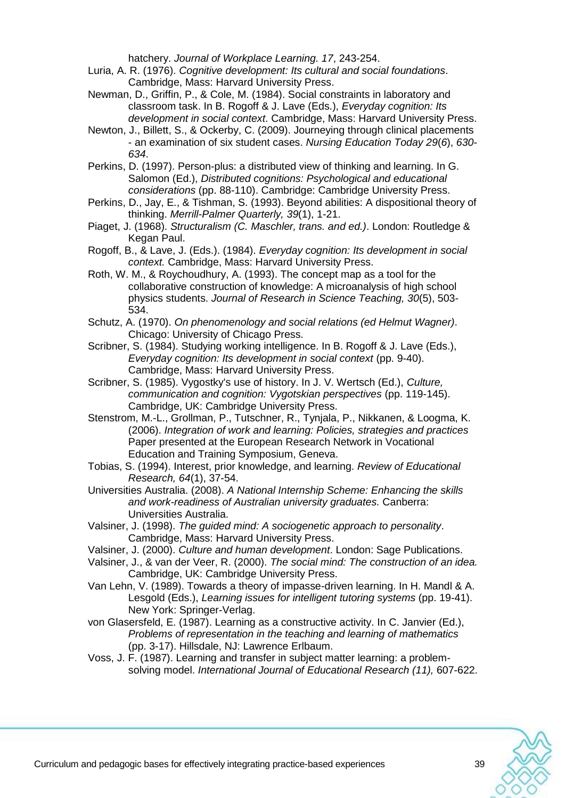hatchery. *Journal of Workplace Learning. 17*, 243-254.

- Luria, A. R. (1976). *Cognitive development: Its cultural and social foundations*. Cambridge, Mass: Harvard University Press.
- Newman, D., Griffin, P., & Cole, M. (1984). Social constraints in laboratory and classroom task. In B. Rogoff & J. Lave (Eds.), *Everyday cognition: Its development in social context*. Cambridge, Mass: Harvard University Press.
- Newton, J., Billett, S., & Ockerby, C. (2009). Journeying through clinical placements - an examination of six student cases. *Nursing Education Today 29*(*6*), *630- 634*.
- Perkins, D. (1997). Person-plus: a distributed view of thinking and learning. In G. Salomon (Ed.), *Distributed cognitions: Psychological and educational considerations* (pp. 88-110). Cambridge: Cambridge University Press.
- Perkins, D., Jay, E., & Tishman, S. (1993). Beyond abilities: A dispositional theory of thinking. *Merrill-Palmer Quarterly, 39*(1), 1-21.
- Piaget, J. (1968). *Structuralism (C. Maschler, trans. and ed.)*. London: Routledge & Kegan Paul.
- Rogoff, B., & Lave, J. (Eds.). (1984). *Everyday cognition: Its development in social context.* Cambridge, Mass: Harvard University Press.
- Roth, W. M., & Roychoudhury, A. (1993). The concept map as a tool for the collaborative construction of knowledge: A microanalysis of high school physics students. *Journal of Research in Science Teaching, 30*(5), 503- 534.
- Schutz, A. (1970). *On phenomenology and social relations (ed Helmut Wagner)*. Chicago: University of Chicago Press.
- Scribner, S. (1984). Studying working intelligence. In B. Rogoff & J. Lave (Eds.), *Everyday cognition: Its development in social context* (pp. 9-40). Cambridge, Mass: Harvard University Press.
- Scribner, S. (1985). Vygostky's use of history. In J. V. Wertsch (Ed.), *Culture, communication and cognition: Vygotskian perspectives* (pp. 119-145). Cambridge, UK: Cambridge University Press.
- Stenstrom, M.-L., Grollman, P., Tutschner, R., Tynjala, P., Nikkanen, & Loogma, K. (2006). *Integration of work and learning: Policies, strategies and practices*  Paper presented at the European Research Network in Vocational Education and Training Symposium, Geneva.
- Tobias, S. (1994). Interest, prior knowledge, and learning. *Review of Educational Research, 64*(1), 37-54.
- Universities Australia. (2008). *A National Internship Scheme: Enhancing the skills and work-readiness of Australian university graduates.* Canberra: Universities Australia.
- Valsiner, J. (1998). *The guided mind: A sociogenetic approach to personality*. Cambridge, Mass: Harvard University Press.
- Valsiner, J. (2000). *Culture and human development*. London: Sage Publications.
- Valsiner, J., & van der Veer, R. (2000). *The social mind: The construction of an idea.* Cambridge, UK: Cambridge University Press.
- Van Lehn, V. (1989). Towards a theory of impasse-driven learning. In H. Mandl & A. Lesgold (Eds.), *Learning issues for intelligent tutoring systems* (pp. 19-41). New York: Springer-Verlag.
- von Glasersfeld, E. (1987). Learning as a constructive activity. In C. Janvier (Ed.), *Problems of representation in the teaching and learning of mathematics* (pp. 3-17). Hillsdale, NJ: Lawrence Erlbaum.
- Voss, J. F. (1987). Learning and transfer in subject matter learning: a problemsolving model. *International Journal of Educational Research (11),* 607-622.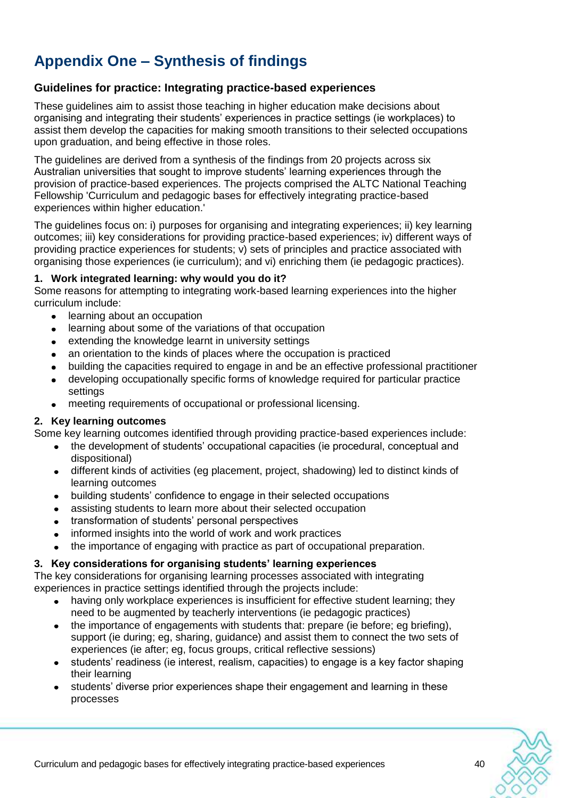# <span id="page-42-0"></span>**Appendix One – Synthesis of findings**

## **Guidelines for practice: Integrating practice-based experiences**

These guidelines aim to assist those teaching in higher education make decisions about organising and integrating their students" experiences in practice settings (ie workplaces) to assist them develop the capacities for making smooth transitions to their selected occupations upon graduation, and being effective in those roles.

The guidelines are derived from a synthesis of the findings from 20 projects across six Australian universities that sought to improve students' learning experiences through the provision of practice-based experiences. The projects comprised the ALTC National Teaching Fellowship 'Curriculum and pedagogic bases for effectively integrating practice-based experiences within higher education.'

The guidelines focus on: i) purposes for organising and integrating experiences; ii) key learning outcomes; iii) key considerations for providing practice-based experiences; iv) different ways of providing practice experiences for students; v) sets of principles and practice associated with organising those experiences (ie curriculum); and vi) enriching them (ie pedagogic practices).

#### **1. Work integrated learning: why would you do it?**

Some reasons for attempting to integrating work-based learning experiences into the higher curriculum include:

- learning about an occupation  $\bullet$
- learning about some of the variations of that occupation
- extending the knowledge learnt in university settings  $\bullet$
- an orientation to the kinds of places where the occupation is practiced
- building the capacities required to engage in and be an effective professional practitioner
- developing occupationally specific forms of knowledge required for particular practice  $\bullet$ settings
- meeting requirements of occupational or professional licensing.

#### **2. Key learning outcomes**

Some key learning outcomes identified through providing practice-based experiences include:

- the development of students' occupational capacities (ie procedural, conceptual and dispositional)
- different kinds of activities (eg placement, project, shadowing) led to distinct kinds of learning outcomes
- building students" confidence to engage in their selected occupations
- assisting students to learn more about their selected occupation
- transformation of students' personal perspectives
- informed insights into the world of work and work practices  $\bullet$
- the importance of engaging with practice as part of occupational preparation.

#### **3. Key considerations for organising students' learning experiences**

The key considerations for organising learning processes associated with integrating experiences in practice settings identified through the projects include:

- having only workplace experiences is insufficient for effective student learning; they need to be augmented by teacherly interventions (ie pedagogic practices)
- the importance of engagements with students that: prepare (ie before; eg briefing), support (ie during; eg, sharing, guidance) and assist them to connect the two sets of experiences (ie after; eg, focus groups, critical reflective sessions)
- students" readiness (ie interest, realism, capacities) to engage is a key factor shaping their learning
- students" diverse prior experiences shape their engagement and learning in these processes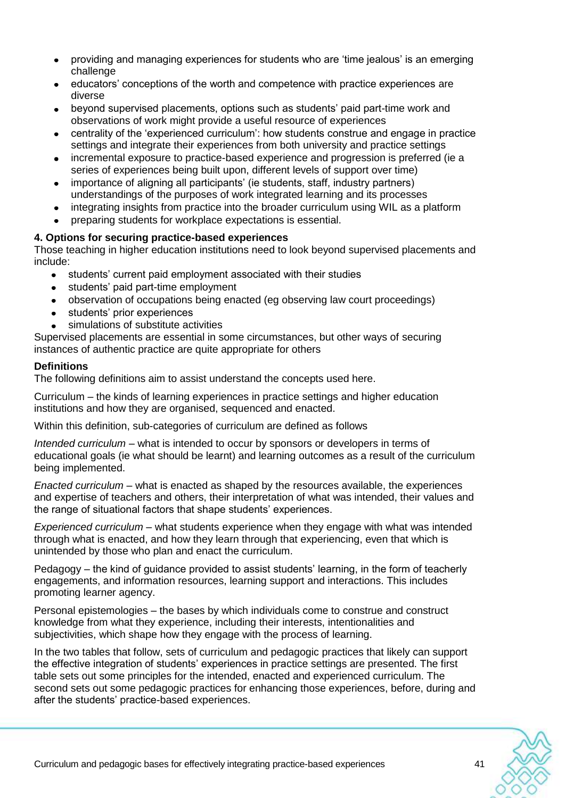- providing and managing experiences for students who are "time jealous" is an emerging challenge
- educators" conceptions of the worth and competence with practice experiences are diverse
- beyond supervised placements, options such as students" paid part-time work and observations of work might provide a useful resource of experiences
- centrality of the "experienced curriculum": how students construe and engage in practice settings and integrate their experiences from both university and practice settings
- incremental exposure to practice-based experience and progression is preferred (ie a series of experiences being built upon, different levels of support over time)
- importance of aligning all participants' (ie students, staff, industry partners) understandings of the purposes of work integrated learning and its processes
- integrating insights from practice into the broader curriculum using WIL as a platform
- preparing students for workplace expectations is essential.

### **4. Options for securing practice-based experiences**

Those teaching in higher education institutions need to look beyond supervised placements and include:

- students' current paid employment associated with their studies  $\bullet$
- students' paid part-time employment
- observation of occupations being enacted (eg observing law court proceedings)
- students' prior experiences
- simulations of substitute activities

Supervised placements are essential in some circumstances, but other ways of securing instances of authentic practice are quite appropriate for others

### **Definitions**

The following definitions aim to assist understand the concepts used here.

Curriculum – the kinds of learning experiences in practice settings and higher education institutions and how they are organised, sequenced and enacted.

Within this definition, sub-categories of curriculum are defined as follows

*Intended curriculum* – what is intended to occur by sponsors or developers in terms of educational goals (ie what should be learnt) and learning outcomes as a result of the curriculum being implemented.

*Enacted curriculum* – what is enacted as shaped by the resources available, the experiences and expertise of teachers and others, their interpretation of what was intended, their values and the range of situational factors that shape students' experiences.

*Experienced curriculum* – what students experience when they engage with what was intended through what is enacted, and how they learn through that experiencing, even that which is unintended by those who plan and enact the curriculum.

Pedagogy – the kind of guidance provided to assist students' learning, in the form of teacherly engagements, and information resources, learning support and interactions. This includes promoting learner agency.

Personal epistemologies – the bases by which individuals come to construe and construct knowledge from what they experience, including their interests, intentionalities and subjectivities, which shape how they engage with the process of learning.

In the two tables that follow, sets of curriculum and pedagogic practices that likely can support the effective integration of students" experiences in practice settings are presented. The first table sets out some principles for the intended, enacted and experienced curriculum. The second sets out some pedagogic practices for enhancing those experiences, before, during and after the students" practice-based experiences.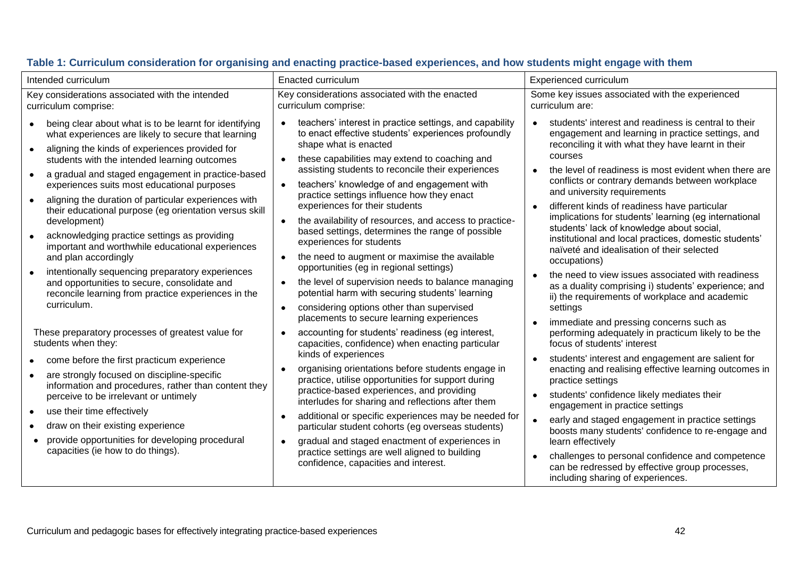| Intended curriculum                                                                                                                                                                                                                                                                                                                                                                                                                                                                                                                                                                                                                                                                                                                                                      | Enacted curriculum                                                                                                                                                                                                                                                                                                                                                                                                                                                                                                                                                                                                                                                                                                                                                                                                                                          | Experienced curriculum                                                                                                                                                                                                                                                                                                                                                                                                                                                                                                                                                                                                                                                                                                                                                                                               |
|--------------------------------------------------------------------------------------------------------------------------------------------------------------------------------------------------------------------------------------------------------------------------------------------------------------------------------------------------------------------------------------------------------------------------------------------------------------------------------------------------------------------------------------------------------------------------------------------------------------------------------------------------------------------------------------------------------------------------------------------------------------------------|-------------------------------------------------------------------------------------------------------------------------------------------------------------------------------------------------------------------------------------------------------------------------------------------------------------------------------------------------------------------------------------------------------------------------------------------------------------------------------------------------------------------------------------------------------------------------------------------------------------------------------------------------------------------------------------------------------------------------------------------------------------------------------------------------------------------------------------------------------------|----------------------------------------------------------------------------------------------------------------------------------------------------------------------------------------------------------------------------------------------------------------------------------------------------------------------------------------------------------------------------------------------------------------------------------------------------------------------------------------------------------------------------------------------------------------------------------------------------------------------------------------------------------------------------------------------------------------------------------------------------------------------------------------------------------------------|
| Key considerations associated with the intended<br>curriculum comprise:                                                                                                                                                                                                                                                                                                                                                                                                                                                                                                                                                                                                                                                                                                  | Key considerations associated with the enacted<br>curriculum comprise:                                                                                                                                                                                                                                                                                                                                                                                                                                                                                                                                                                                                                                                                                                                                                                                      | Some key issues associated with the experienced<br>curriculum are:                                                                                                                                                                                                                                                                                                                                                                                                                                                                                                                                                                                                                                                                                                                                                   |
| being clear about what is to be learnt for identifying<br>what experiences are likely to secure that learning<br>aligning the kinds of experiences provided for<br>$\bullet$<br>students with the intended learning outcomes<br>a gradual and staged engagement in practice-based<br>experiences suits most educational purposes<br>aligning the duration of particular experiences with<br>their educational purpose (eg orientation versus skill<br>development)<br>acknowledging practice settings as providing<br>important and worthwhile educational experiences<br>and plan accordingly<br>intentionally sequencing preparatory experiences<br>and opportunities to secure, consolidate and<br>reconcile learning from practice experiences in the<br>curriculum. | teachers' interest in practice settings, and capability<br>to enact effective students' experiences profoundly<br>shape what is enacted<br>these capabilities may extend to coaching and<br>assisting students to reconcile their experiences<br>teachers' knowledge of and engagement with<br>practice settings influence how they enact<br>experiences for their students<br>the availability of resources, and access to practice-<br>$\bullet$<br>based settings, determines the range of possible<br>experiences for students<br>the need to augment or maximise the available<br>opportunities (eg in regional settings)<br>the level of supervision needs to balance managing<br>$\bullet$<br>potential harm with securing students' learning<br>considering options other than supervised<br>$\bullet$<br>placements to secure learning experiences | students' interest and readiness is central to their<br>$\bullet$<br>engagement and learning in practice settings, and<br>reconciling it with what they have learnt in their<br>courses<br>the level of readiness is most evident when there are<br>$\bullet$<br>conflicts or contrary demands between workplace<br>and university requirements<br>different kinds of readiness have particular<br>implications for students' learning (eg international<br>students' lack of knowledge about social,<br>institutional and local practices, domestic students'<br>naïveté and idealisation of their selected<br>occupations)<br>the need to view issues associated with readiness<br>$\bullet$<br>as a duality comprising i) students' experience; and<br>ii) the requirements of workplace and academic<br>settings |
| These preparatory processes of greatest value for<br>students when they:<br>come before the first practicum experience<br>are strongly focused on discipline-specific<br>information and procedures, rather than content they<br>perceive to be irrelevant or untimely<br>use their time effectively<br>draw on their existing experience<br>provide opportunities for developing procedural<br>$\bullet$<br>capacities (ie how to do things).                                                                                                                                                                                                                                                                                                                           | accounting for students' readiness (eg interest,<br>capacities, confidence) when enacting particular<br>kinds of experiences<br>organising orientations before students engage in<br>practice, utilise opportunities for support during<br>practice-based experiences, and providing<br>interludes for sharing and reflections after them<br>additional or specific experiences may be needed for<br>$\bullet$<br>particular student cohorts (eg overseas students)<br>gradual and staged enactment of experiences in<br>$\bullet$<br>practice settings are well aligned to building<br>confidence, capacities and interest.                                                                                                                                                                                                                                | immediate and pressing concerns such as<br>performing adequately in practicum likely to be the<br>focus of students' interest<br>students' interest and engagement are salient for<br>$\bullet$<br>enacting and realising effective learning outcomes in<br>practice settings<br>students' confidence likely mediates their<br>$\bullet$<br>engagement in practice settings<br>early and staged engagement in practice settings<br>$\bullet$<br>boosts many students' confidence to re-engage and<br>learn effectively<br>challenges to personal confidence and competence<br>$\bullet$<br>can be redressed by effective group processes,<br>including sharing of experiences.                                                                                                                                       |

## **Table 1: Curriculum consideration for organising and enacting practice-based experiences, and how students might engage with them**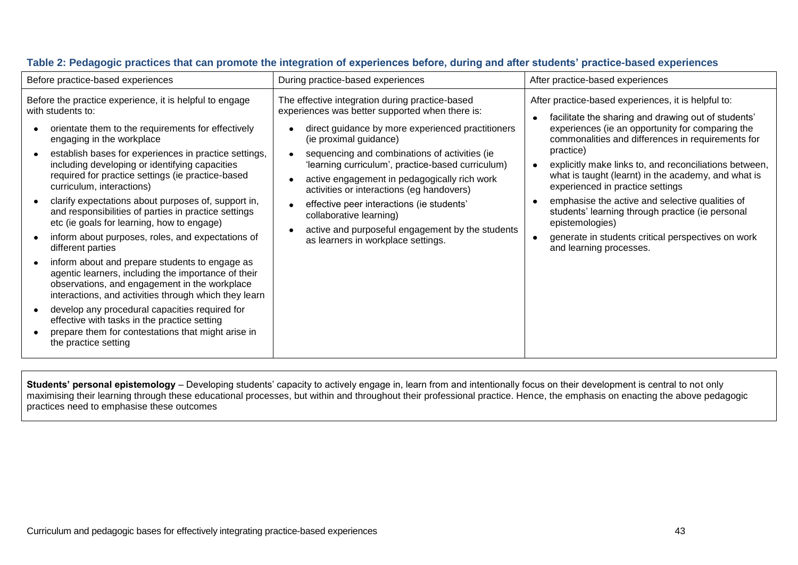| Before practice-based experiences                                                                                                                                                                                                                                                                                                                                                                                                                                                                                                                                                                                                                                                                                                                                                                                      | During practice-based experiences                                                                                                                                                                                                                                                                                                                                                                                                                                                                                                                                                     | After practice-based experiences                                                                                                                                                                                                                                                                                                                                                                                                                                                                                                                                                                 |
|------------------------------------------------------------------------------------------------------------------------------------------------------------------------------------------------------------------------------------------------------------------------------------------------------------------------------------------------------------------------------------------------------------------------------------------------------------------------------------------------------------------------------------------------------------------------------------------------------------------------------------------------------------------------------------------------------------------------------------------------------------------------------------------------------------------------|---------------------------------------------------------------------------------------------------------------------------------------------------------------------------------------------------------------------------------------------------------------------------------------------------------------------------------------------------------------------------------------------------------------------------------------------------------------------------------------------------------------------------------------------------------------------------------------|--------------------------------------------------------------------------------------------------------------------------------------------------------------------------------------------------------------------------------------------------------------------------------------------------------------------------------------------------------------------------------------------------------------------------------------------------------------------------------------------------------------------------------------------------------------------------------------------------|
| Before the practice experience, it is helpful to engage<br>with students to:<br>orientate them to the requirements for effectively<br>engaging in the workplace<br>establish bases for experiences in practice settings,<br>including developing or identifying capacities<br>required for practice settings (ie practice-based<br>curriculum, interactions)<br>clarify expectations about purposes of, support in,<br>and responsibilities of parties in practice settings<br>etc (ie goals for learning, how to engage)<br>inform about purposes, roles, and expectations of<br>different parties<br>inform about and prepare students to engage as<br>agentic learners, including the importance of their<br>observations, and engagement in the workplace<br>interactions, and activities through which they learn | The effective integration during practice-based<br>experiences was better supported when there is:<br>direct guidance by more experienced practitioners<br>(ie proximal guidance)<br>sequencing and combinations of activities (ie<br>$\bullet$<br>'learning curriculum', practice-based curriculum)<br>active engagement in pedagogically rich work<br>٠<br>activities or interactions (eg handovers)<br>effective peer interactions (ie students'<br>$\bullet$<br>collaborative learning)<br>active and purposeful engagement by the students<br>as learners in workplace settings. | After practice-based experiences, it is helpful to:<br>facilitate the sharing and drawing out of students'<br>experiences (ie an opportunity for comparing the<br>commonalities and differences in requirements for<br>practice)<br>explicitly make links to, and reconciliations between,<br>what is taught (learnt) in the academy, and what is<br>experienced in practice settings<br>emphasise the active and selective qualities of<br>students' learning through practice (ie personal<br>epistemologies)<br>generate in students critical perspectives on work<br>and learning processes. |
| develop any procedural capacities required for<br>effective with tasks in the practice setting<br>prepare them for contestations that might arise in<br>the practice setting                                                                                                                                                                                                                                                                                                                                                                                                                                                                                                                                                                                                                                           |                                                                                                                                                                                                                                                                                                                                                                                                                                                                                                                                                                                       |                                                                                                                                                                                                                                                                                                                                                                                                                                                                                                                                                                                                  |

### **Table 2: Pedagogic practices that can promote the integration of experiences before, during and after students' practice-based experiences**

**Students' personal epistemology** – Developing students" capacity to actively engage in, learn from and intentionally focus on their development is central to not only maximising their learning through these educational processes, but within and throughout their professional practice. Hence, the emphasis on enacting the above pedagogic practices need to emphasise these outcomes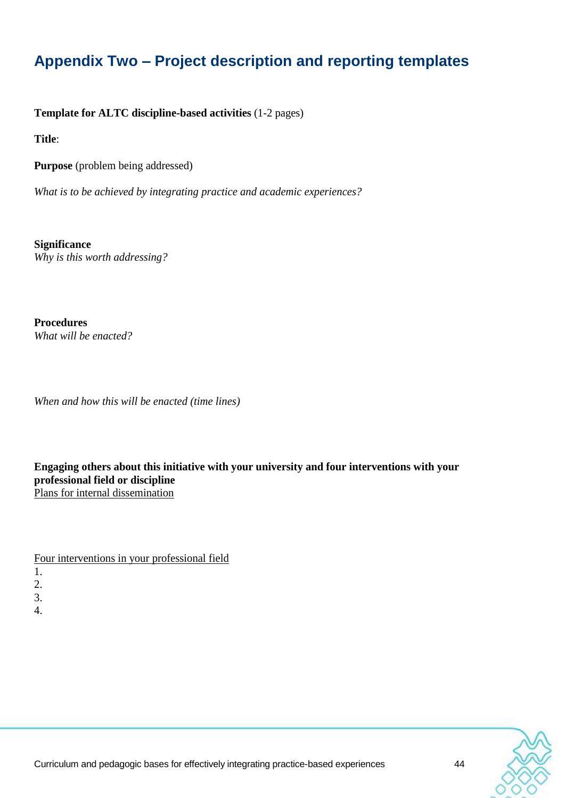# <span id="page-46-0"></span>**Appendix Two – Project description and reporting templates**

**Template for ALTC discipline-based activities** (1-2 pages)

**Title**:

**Purpose** (problem being addressed)

*What is to be achieved by integrating practice and academic experiences?*

**Significance** *Why is this worth addressing?*

**Procedures** *What will be enacted?*

*When and how this will be enacted (time lines)*

**Engaging others about this initiative with your university and four interventions with your professional field or discipline** Plans for internal dissemination

Four interventions in your professional field

- 1.
- 2.



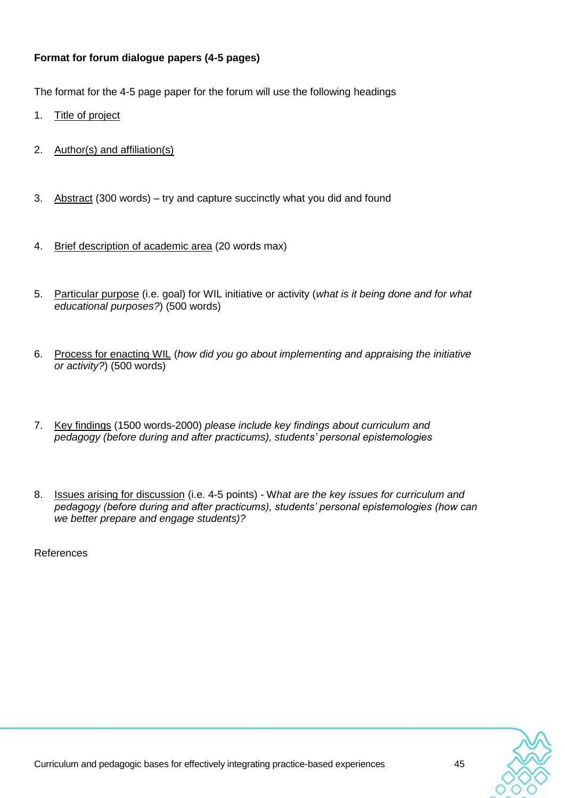## **Format for forum dialogue papers (4-5 pages)**

The format for the 4-5 page paper for the forum will use the following headings

- 1. Title of project
- 2. Author(s) and affiliation(s)
- 3. Abstract (300 words) try and capture succinctly what you did and found
- 4. Brief description of academic area (20 words max)
- 5. Particular purpose (i.e. goal) for WIL initiative or activity (*what is it being done and for what educational purposes?*) (500 words)
- 6. Process for enacting WIL (*how did you go about implementing and appraising the initiative or activity?*) (500 words)
- 7. Key findings (1500 words-2000) *please include key findings about curriculum and pedagogy (before during and after practicums), students' personal epistemologies*
- 8. Issues arising for discussion (i.e. 4-5 points) W*hat are the key issues for curriculum and pedagogy (before during and after practicums), students' personal epistemologies (how can we better prepare and engage students)?*

References

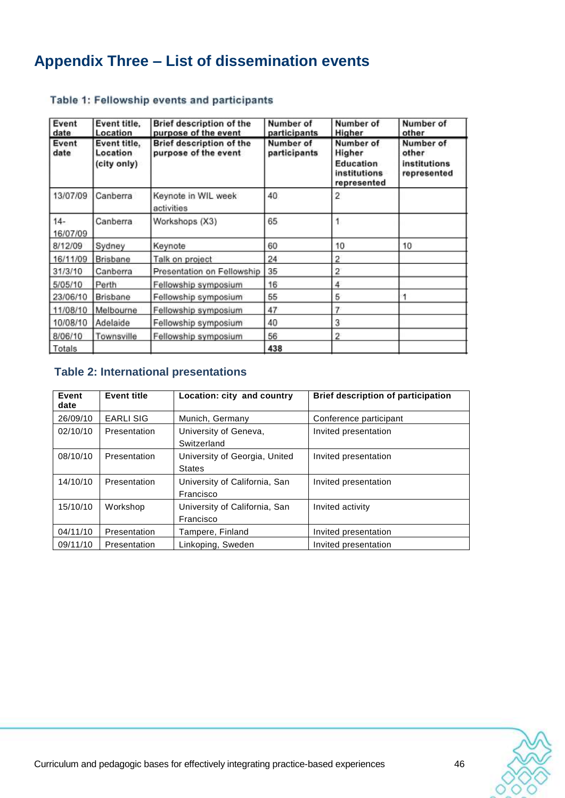# <span id="page-48-0"></span>**Appendix Three – List of dissemination events**

| Event<br>date     | Event title.<br>Location                | <b>Brief description of the</b><br>purpose of the event | Number of<br>participants | Number of<br>Higher                                             | <b>Number of</b><br>other                         |
|-------------------|-----------------------------------------|---------------------------------------------------------|---------------------------|-----------------------------------------------------------------|---------------------------------------------------|
| Event<br>date     | Event title.<br>Location<br>(city only) | <b>Brief description of the</b><br>purpose of the event | Number of<br>participants | Number of<br>Higher<br>Education<br>institutions<br>represented | Number of<br>other<br>institutions<br>represented |
| 13/07/09          | Canberra                                | Keynote in WIL week<br>activities                       | 40                        | 2                                                               |                                                   |
| $14-$<br>16/07/09 | Canberra                                | Workshops (X3)                                          | 65                        |                                                                 |                                                   |
| 8/12/09           | Sydney                                  | Keynote                                                 | 60                        | 10                                                              | 10                                                |
| 16/11/09          | Brisbane                                | Talk on project                                         | 24                        | 2                                                               |                                                   |
| 31/3/10           | Canberra                                | Presentation on Fellowship                              | 35                        | 2                                                               |                                                   |
| 5/05/10           | Perth                                   | Fellowship symposium                                    | 16                        | 4                                                               |                                                   |
| 23/06/10          | Brisbane                                | Fellowship symposium                                    | 55                        | 5                                                               | 1                                                 |
| 11/08/10          | Melbourne                               | Fellowship symposium                                    | 47                        | 7                                                               |                                                   |
| 10/08/10          | Adelaide                                | Fellowship symposium                                    | 40                        | 3                                                               |                                                   |
| 8/06/10           | Townsville                              | Fellowship symposium                                    | 56                        | 2                                                               |                                                   |
| l Totals          |                                         |                                                         | 438                       |                                                                 |                                                   |

## Table 1: Fellowship events and participants

# **Table 2: International presentations**

| Event<br>date | Event title     | Location: city and country                     | <b>Brief description of participation</b> |
|---------------|-----------------|------------------------------------------------|-------------------------------------------|
| 26/09/10      | <b>EARLISIG</b> | Munich, Germany                                | Conference participant                    |
| 02/10/10      | Presentation    | University of Geneva,<br>Switzerland           | Invited presentation                      |
| 08/10/10      | Presentation    | University of Georgia, United<br><b>States</b> | Invited presentation                      |
| 14/10/10      | Presentation    | University of California, San<br>Francisco     | Invited presentation                      |
| 15/10/10      | Workshop        | University of California, San<br>Francisco     | Invited activity                          |
| 04/11/10      | Presentation    | Tampere, Finland                               | Invited presentation                      |
| 09/11/10      | Presentation    | Linkoping, Sweden                              | Invited presentation                      |

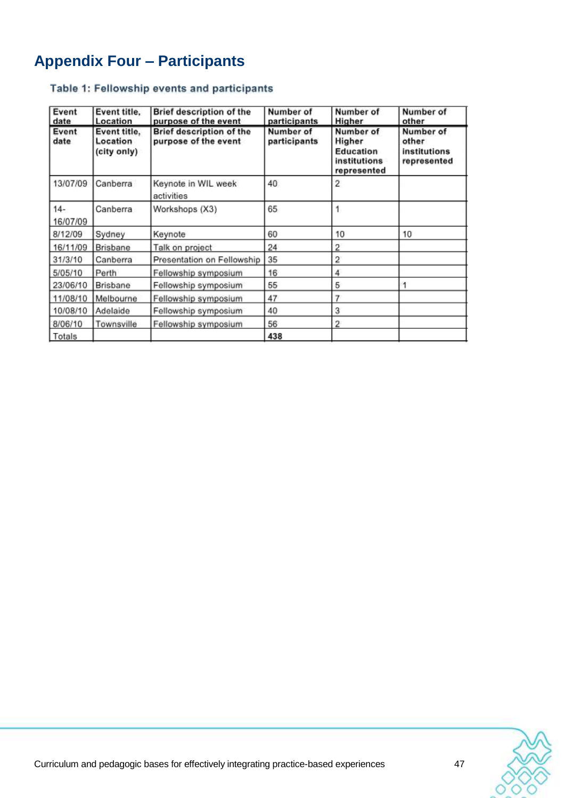# <span id="page-49-0"></span>**Appendix Four – Participants**

## Table 1: Fellowship events and participants

| Event<br>date      | Event title.<br>Location                | <b>Brief description of the</b><br>purpose of the event | Number of<br>participants | Number of<br>Higher                                             | Number of<br>other                                |
|--------------------|-----------------------------------------|---------------------------------------------------------|---------------------------|-----------------------------------------------------------------|---------------------------------------------------|
| Event<br>date      | Event title.<br>Location<br>(city only) | <b>Brief description of the</b><br>purpose of the event | Number of<br>participants | Number of<br>Higher<br>Education<br>institutions<br>represented | Number of<br>other<br>institutions<br>represented |
| 13/07/09           | Canberra                                | Keynote in WIL week<br>activities                       | 40                        | 2                                                               |                                                   |
| $14 -$<br>16/07/09 | Canberra                                | Workshops (X3)                                          | 65                        |                                                                 |                                                   |
| 8/12/09            | Sydney                                  | Keynote                                                 | 60                        | 10                                                              | 10                                                |
| 16/11/09           | Brisbane                                | Talk on project                                         | 24                        | 2                                                               |                                                   |
| 31/3/10            | Canberra                                | Presentation on Fellowship                              | 35                        | 2                                                               |                                                   |
| 5/05/10            | Perth                                   | Fellowship symposium                                    | 16                        | 4                                                               |                                                   |
| 23/06/10           | Brisbane                                | Fellowship symposium                                    | 55                        | 5                                                               |                                                   |
| 11/08/10           | Melbourne                               | Fellowship symposium                                    | 47                        | 7                                                               |                                                   |
| 10/08/10           | Adelaide                                | Fellowship symposium                                    | 40                        | 3                                                               |                                                   |
| 8/06/10            | Townsville                              | Fellowship symposium                                    | 56                        | $\overline{2}$                                                  |                                                   |
| Totals             |                                         |                                                         | 438                       |                                                                 |                                                   |